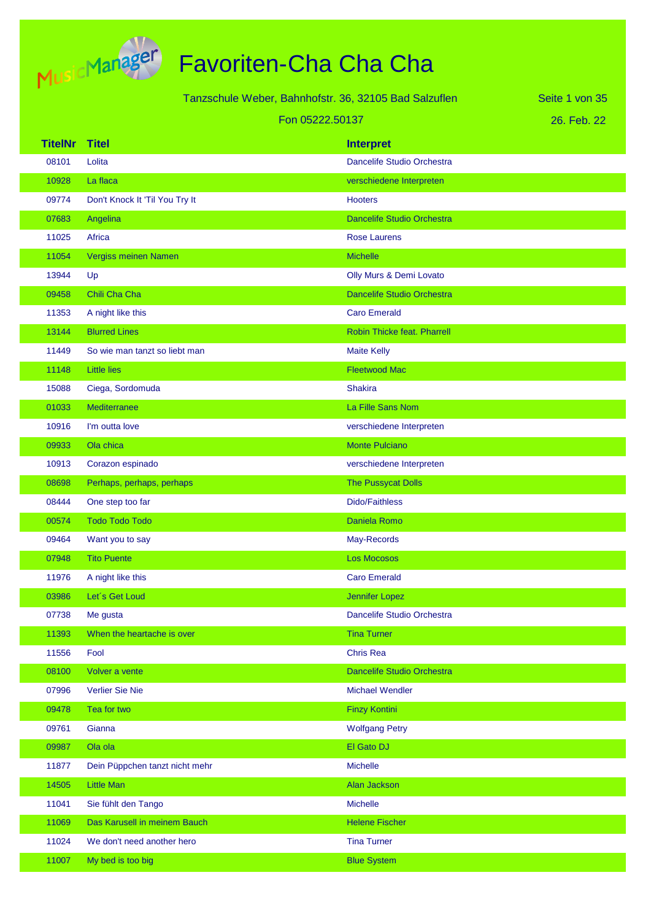

|                |                                | Tanzschule Weber, Bahnhofstr. 36, 32105 Bad Salzuflen | Seite 1 von 35 |
|----------------|--------------------------------|-------------------------------------------------------|----------------|
|                |                                | Fon 05222.50137                                       | 26. Feb. 22    |
| <b>TitelNr</b> | <b>Titel</b>                   | <b>Interpret</b>                                      |                |
| 08101          | Lolita                         | Dancelife Studio Orchestra                            |                |
| 10928          | La flaca                       | verschiedene Interpreten                              |                |
| 09774          | Don't Knock It 'Til You Try It | <b>Hooters</b>                                        |                |
| 07683          | Angelina                       | <b>Dancelife Studio Orchestra</b>                     |                |
| 11025          | Africa                         | <b>Rose Laurens</b>                                   |                |
| 11054          | Vergiss meinen Namen           | <b>Michelle</b>                                       |                |
| 13944          | Up                             | Olly Murs & Demi Lovato                               |                |
| 09458          | Chili Cha Cha                  | <b>Dancelife Studio Orchestra</b>                     |                |
| 11353          | A night like this              | <b>Caro Emerald</b>                                   |                |
| 13144          | <b>Blurred Lines</b>           | Robin Thicke feat. Pharrell                           |                |
| 11449          | So wie man tanzt so liebt man  | <b>Maite Kelly</b>                                    |                |
| 11148          | <b>Little lies</b>             | <b>Fleetwood Mac</b>                                  |                |
| 15088          | Ciega, Sordomuda               | <b>Shakira</b>                                        |                |
| 01033          | <b>Mediterranee</b>            | La Fille Sans Nom                                     |                |
| 10916          | I'm outta love                 | verschiedene Interpreten                              |                |
| 09933          | Ola chica                      | <b>Monte Pulciano</b>                                 |                |
| 10913          | Corazon espinado               | verschiedene Interpreten                              |                |
| 08698          | Perhaps, perhaps, perhaps      | <b>The Pussycat Dolls</b>                             |                |
| 08444          | One step too far               | <b>Dido/Faithless</b>                                 |                |
| 00574          | <b>Todo Todo Todo</b>          | Daniela Romo                                          |                |
| 09464          | Want you to say                | May-Records                                           |                |
| 07948          | <b>Tito Puente</b>             | <b>Los Mocosos</b>                                    |                |
| 11976          | A night like this              | <b>Caro Emerald</b>                                   |                |
| 03986          | Let's Get Loud                 | <b>Jennifer Lopez</b>                                 |                |
| 07738          | Me gusta                       | Dancelife Studio Orchestra                            |                |
| 11393          | When the heartache is over     | <b>Tina Turner</b>                                    |                |
| 11556          | Fool                           | <b>Chris Rea</b>                                      |                |
| 08100          | Volver a vente                 | <b>Dancelife Studio Orchestra</b>                     |                |
| 07996          | Verlier Sie Nie                | <b>Michael Wendler</b>                                |                |
| 09478          | Tea for two                    | <b>Finzy Kontini</b>                                  |                |
| 09761          | Gianna                         | <b>Wolfgang Petry</b>                                 |                |
| 09987          | Ola ola                        | El Gato DJ                                            |                |
| 11877          | Dein Püppchen tanzt nicht mehr | Michelle                                              |                |
| 14505          | <b>Little Man</b>              | Alan Jackson                                          |                |
| 11041          | Sie fühlt den Tango            | Michelle                                              |                |
| 11069          | Das Karusell in meinem Bauch   | <b>Helene Fischer</b>                                 |                |

11024 We don't need another hero Tina Turner Tina Turner 11007 My bed is too big Blue System and the Blue System Blue System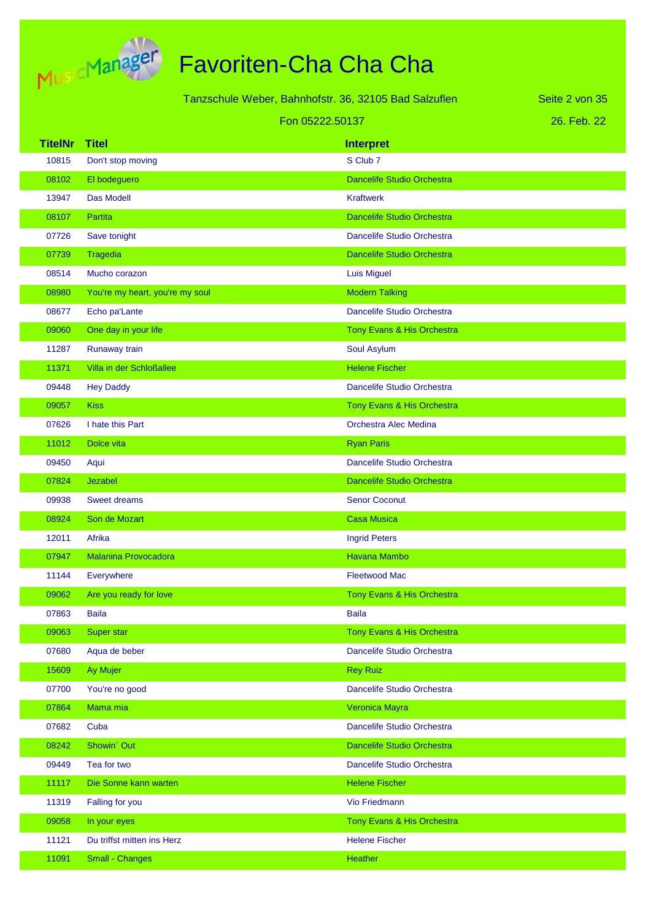

|                |                                 | Tanzschule Weber, Bahnhofstr. 36, 32105 Bad Salzuflen | Seite 2 von 35 |
|----------------|---------------------------------|-------------------------------------------------------|----------------|
|                |                                 | Fon 05222.50137                                       | 26. Feb. 22    |
| <b>TitelNr</b> | <b>Titel</b>                    | <b>Interpret</b>                                      |                |
| 10815          | Don't stop moving               | S Club 7                                              |                |
| 08102          | El bodeguero                    | <b>Dancelife Studio Orchestra</b>                     |                |
| 13947          | Das Modell                      | <b>Kraftwerk</b>                                      |                |
| 08107          | Partita                         | <b>Dancelife Studio Orchestra</b>                     |                |
| 07726          | Save tonight                    | Dancelife Studio Orchestra                            |                |
| 07739          | Tragedia                        | <b>Dancelife Studio Orchestra</b>                     |                |
| 08514          | Mucho corazon                   | <b>Luis Miguel</b>                                    |                |
| 08980          | You're my heart, you're my soul | <b>Modern Talking</b>                                 |                |
| 08677          | Echo pa'Lante                   | Dancelife Studio Orchestra                            |                |
| 09060          | One day in your life            | Tony Evans & His Orchestra                            |                |
| 11287          | Runaway train                   | Soul Asylum                                           |                |
| 11371          | Villa in der Schloßallee        | <b>Helene Fischer</b>                                 |                |
| 09448          | <b>Hey Daddy</b>                | Dancelife Studio Orchestra                            |                |
| 09057          | <b>Kiss</b>                     | Tony Evans & His Orchestra                            |                |
| 07626          | I hate this Part                | Orchestra Alec Medina                                 |                |
| 11012          | Dolce vita                      | <b>Ryan Paris</b>                                     |                |
| 09450          | Aqui                            | Dancelife Studio Orchestra                            |                |
| 07824          | Jezabel                         | <b>Dancelife Studio Orchestra</b>                     |                |
| 09938          | <b>Sweet dreams</b>             | <b>Senor Coconut</b>                                  |                |
| 08924          | Son de Mozart                   | <b>Casa Musica</b>                                    |                |
| 12011          | Afrika                          | <b>Ingrid Peters</b>                                  |                |
| 07947          | <b>Malanina Provocadora</b>     | <b>Havana Mambo</b>                                   |                |
| 11144          | Everywhere                      | <b>Fleetwood Mac</b>                                  |                |
| 09062          | Are you ready for love          | Tony Evans & His Orchestra                            |                |
| 07863          | <b>Baila</b>                    | <b>Baila</b>                                          |                |
| 09063          | Super star                      | Tony Evans & His Orchestra                            |                |
| 07680          | Aqua de beber                   | Dancelife Studio Orchestra                            |                |
| 15609          | Ay Mujer                        | <b>Rey Ruiz</b>                                       |                |
| 07700          | You're no good                  | Dancelife Studio Orchestra                            |                |
| 07864          | Mama mia                        | Veronica Mayra                                        |                |
| 07682          | Cuba                            | Dancelife Studio Orchestra                            |                |
| 08242          | Showin' Out                     | Dancelife Studio Orchestra                            |                |
| 09449          | Tea for two                     | Dancelife Studio Orchestra                            |                |
| 11117          | Die Sonne kann warten           | <b>Helene Fischer</b>                                 |                |
| 11319          | Falling for you                 | Vio Friedmann                                         |                |
| 09058          | In your eyes                    | Tony Evans & His Orchestra                            |                |
| 11121          | Du triffst mitten ins Herz      | <b>Helene Fischer</b>                                 |                |
| 11091          | Small - Changes                 | Heather                                               |                |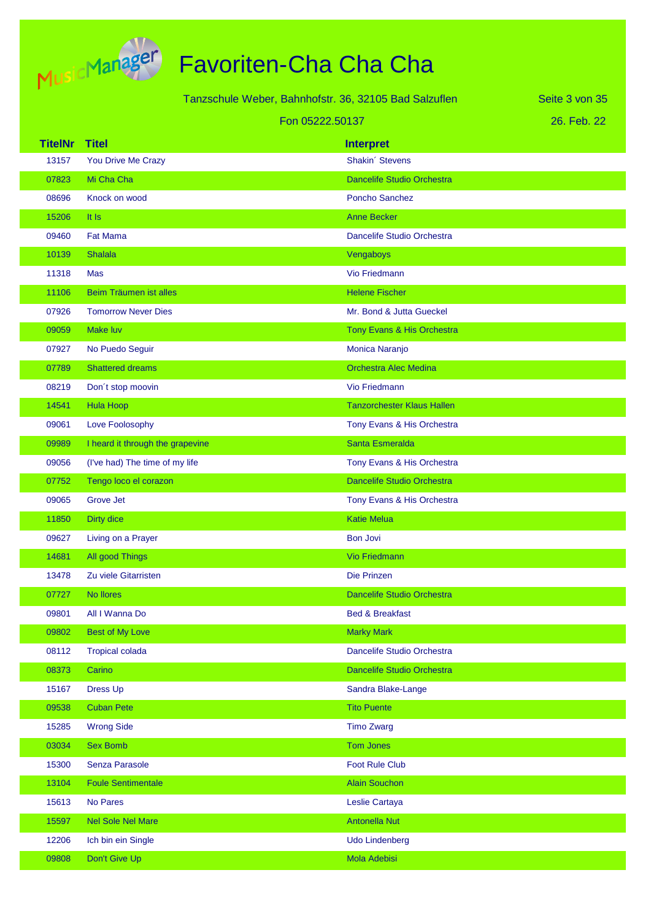

|                |                                  | Tanzschule Weber, Bahnhofstr. 36, 32105 Bad Salzuflen | Seite 3 von 35 |
|----------------|----------------------------------|-------------------------------------------------------|----------------|
|                |                                  | Fon 05222.50137                                       | 26. Feb. 22    |
| <b>TitelNr</b> | <b>Titel</b>                     | <b>Interpret</b>                                      |                |
| 13157          | You Drive Me Crazy               | Shakin' Stevens                                       |                |
| 07823          | Mi Cha Cha                       | <b>Dancelife Studio Orchestra</b>                     |                |
| 08696          | Knock on wood                    | <b>Poncho Sanchez</b>                                 |                |
| 15206          | It Is                            | <b>Anne Becker</b>                                    |                |
| 09460          | <b>Fat Mama</b>                  | Dancelife Studio Orchestra                            |                |
| 10139          | <b>Shalala</b>                   | Vengaboys                                             |                |
| 11318          | Mas                              | <b>Vio Friedmann</b>                                  |                |
| 11106          | Beim Träumen ist alles           | <b>Helene Fischer</b>                                 |                |
| 07926          | <b>Tomorrow Never Dies</b>       | Mr. Bond & Jutta Gueckel                              |                |
| 09059          | <b>Make luv</b>                  | Tony Evans & His Orchestra                            |                |
| 07927          | No Puedo Seguir                  | Monica Naranjo                                        |                |
| 07789          | <b>Shattered dreams</b>          | <b>Orchestra Alec Medina</b>                          |                |
| 08219          | Don't stop moovin                | <b>Vio Friedmann</b>                                  |                |
| 14541          | <b>Hula Hoop</b>                 | <b>Tanzorchester Klaus Hallen</b>                     |                |
| 09061          | Love Foolosophy                  | Tony Evans & His Orchestra                            |                |
| 09989          | I heard it through the grapevine | Santa Esmeralda                                       |                |
| 09056          | (I've had) The time of my life   | Tony Evans & His Orchestra                            |                |
| 07752          | Tengo loco el corazon            | Dancelife Studio Orchestra                            |                |
| 09065          | <b>Grove Jet</b>                 | Tony Evans & His Orchestra                            |                |
| 11850          | Dirty dice                       | <b>Katie Melua</b>                                    |                |
| 09627          | Living on a Prayer               | <b>Bon Jovi</b>                                       |                |
| 14681          | All good Things                  | <b>Vio Friedmann</b>                                  |                |
| 13478          | Zu viele Gitarristen             | Die Prinzen                                           |                |
| 07727          | No llores                        | Dancelife Studio Orchestra                            |                |
| 09801          | All I Wanna Do                   | <b>Bed &amp; Breakfast</b>                            |                |
| 09802          | <b>Best of My Love</b>           | <b>Marky Mark</b>                                     |                |
| 08112          | <b>Tropical colada</b>           | Dancelife Studio Orchestra                            |                |
| 08373          | Carino                           | Dancelife Studio Orchestra                            |                |
| 15167          | Dress Up                         | Sandra Blake-Lange                                    |                |
| 09538          | <b>Cuban Pete</b>                | <b>Tito Puente</b>                                    |                |
| 15285          | <b>Wrong Side</b>                | <b>Timo Zwarg</b>                                     |                |
| 03034          | <b>Sex Bomb</b>                  | Tom Jones                                             |                |
| 15300          | Senza Parasole                   | <b>Foot Rule Club</b>                                 |                |
| 13104          | <b>Foule Sentimentale</b>        | <b>Alain Souchon</b>                                  |                |
| 15613          | No Pares                         | Leslie Cartaya                                        |                |
| 15597          | Nel Sole Nel Mare                | <b>Antonella Nut</b>                                  |                |
| 12206          | Ich bin ein Single               | Udo Lindenberg                                        |                |
| 09808          | Don't Give Up                    | Mola Adebisi                                          |                |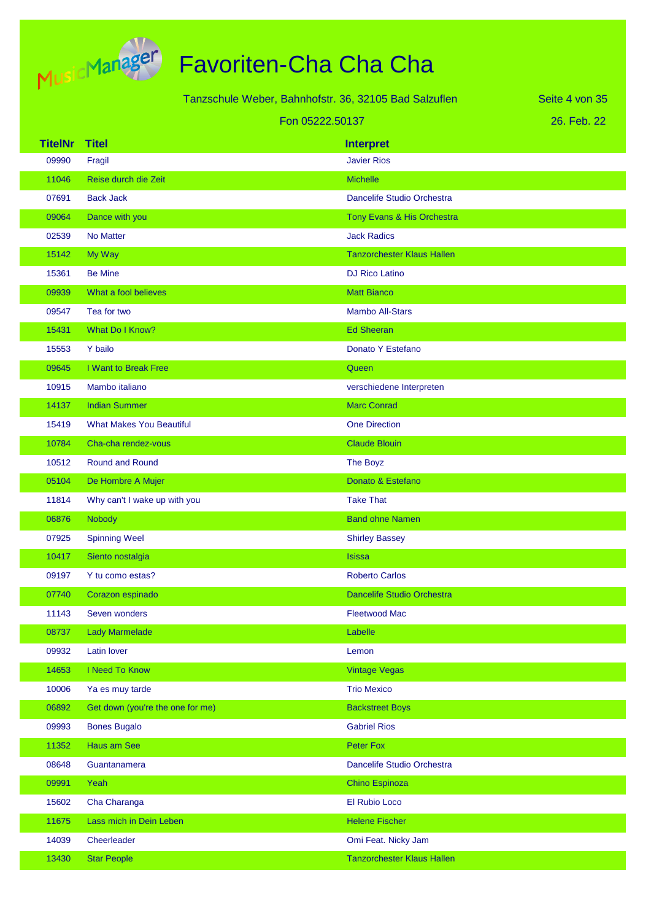

|                |                                  | Tanzschule Weber, Bahnhofstr. 36, 32105 Bad Salzuflen | Seite 4 von 35 |
|----------------|----------------------------------|-------------------------------------------------------|----------------|
|                |                                  | Fon 05222.50137                                       | 26. Feb. 22    |
| <b>TitelNr</b> | <b>Titel</b>                     | <b>Interpret</b>                                      |                |
| 09990          | Fragil                           | <b>Javier Rios</b>                                    |                |
| 11046          | Reise durch die Zeit             | <b>Michelle</b>                                       |                |
| 07691          | <b>Back Jack</b>                 | Dancelife Studio Orchestra                            |                |
| 09064          | Dance with you                   | Tony Evans & His Orchestra                            |                |
| 02539          | No Matter                        | <b>Jack Radics</b>                                    |                |
| 15142          | My Way                           | <b>Tanzorchester Klaus Hallen</b>                     |                |
| 15361          | <b>Be Mine</b>                   | <b>DJ Rico Latino</b>                                 |                |
| 09939          | What a fool believes             | <b>Matt Bianco</b>                                    |                |
| 09547          | Tea for two                      | <b>Mambo All-Stars</b>                                |                |
| 15431          | What Do I Know?                  | <b>Ed Sheeran</b>                                     |                |
| 15553          | Y bailo                          | Donato Y Estefano                                     |                |
| 09645          | I Want to Break Free             | Queen                                                 |                |
| 10915          | Mambo italiano                   | verschiedene Interpreten                              |                |
| 14137          | <b>Indian Summer</b>             | <b>Marc Conrad</b>                                    |                |
| 15419          | <b>What Makes You Beautiful</b>  | <b>One Direction</b>                                  |                |
| 10784          | Cha-cha rendez-vous              | <b>Claude Blouin</b>                                  |                |
| 10512          | <b>Round and Round</b>           | The Boyz                                              |                |
| 05104          | De Hombre A Mujer                | Donato & Estefano                                     |                |
| 11814          | Why can't I wake up with you     | <b>Take That</b>                                      |                |
| 06876          | Nobody                           | <b>Band ohne Namen</b>                                |                |
| 07925          | <b>Spinning Weel</b>             | <b>Shirley Bassey</b>                                 |                |
| 10417          | Siento nostalgia                 | <b>Isissa</b>                                         |                |
| 09197          | Y tu como estas?                 | <b>Roberto Carlos</b>                                 |                |
| 07740          | Corazon espinado                 | <b>Dancelife Studio Orchestra</b>                     |                |
| 11143          | Seven wonders                    | <b>Fleetwood Mac</b>                                  |                |
| 08737          | <b>Lady Marmelade</b>            | Labelle                                               |                |
| 09932          | Latin lover                      | Lemon                                                 |                |
| 14653          | I Need To Know                   | <b>Vintage Vegas</b>                                  |                |
| 10006          | Ya es muy tarde                  | <b>Trio Mexico</b>                                    |                |
| 06892          | Get down (you're the one for me) | <b>Backstreet Boys</b>                                |                |
| 09993          | <b>Bones Bugalo</b>              | <b>Gabriel Rios</b>                                   |                |
| 11352          | Haus am See                      | Peter Fox                                             |                |
| 08648          | Guantanamera                     | Dancelife Studio Orchestra                            |                |
| 09991          | Yeah                             | <b>Chino Espinoza</b>                                 |                |
| 15602          | Cha Charanga                     | El Rubio Loco                                         |                |
| 11675          | Lass mich in Dein Leben          | <b>Helene Fischer</b>                                 |                |
| 14039          | Cheerleader                      | Omi Feat. Nicky Jam                                   |                |
| 13430          | <b>Star People</b>               | <b>Tanzorchester Klaus Hallen</b>                     |                |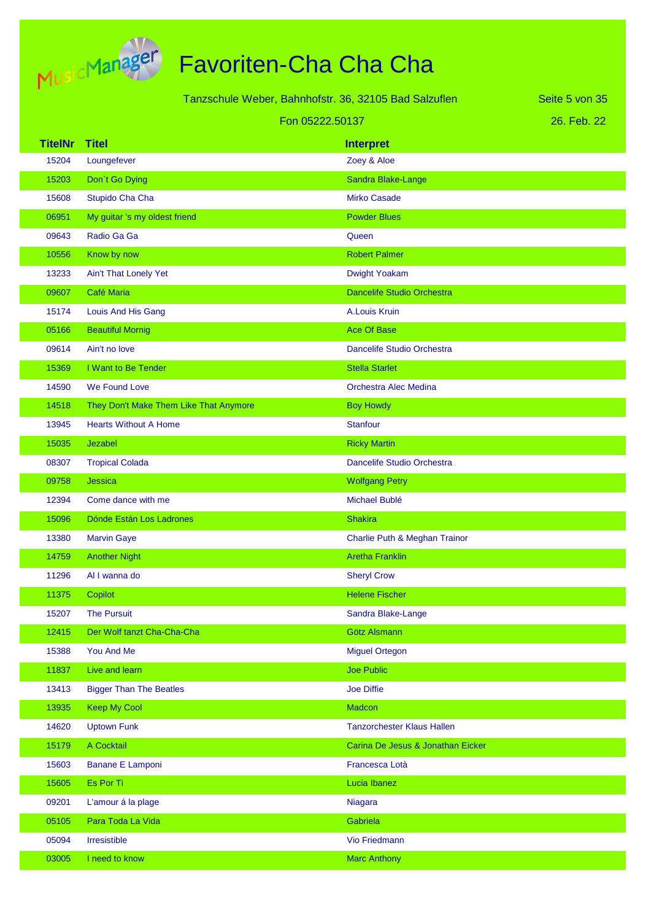

|                |                                        | Tanzschule Weber, Bahnhofstr. 36, 32105 Bad Salzuflen | Seite 5 von 35 |
|----------------|----------------------------------------|-------------------------------------------------------|----------------|
|                |                                        | Fon 05222.50137                                       | 26. Feb. 22    |
| <b>TitelNr</b> | <b>Titel</b>                           | <b>Interpret</b>                                      |                |
| 15204          | Loungefever                            | Zoey & Aloe                                           |                |
| 15203          | Don't Go Dying                         | Sandra Blake-Lange                                    |                |
| 15608          | Stupido Cha Cha                        | <b>Mirko Casade</b>                                   |                |
| 06951          | My guitar 's my oldest friend          | <b>Powder Blues</b>                                   |                |
| 09643          | Radio Ga Ga                            | Queen                                                 |                |
| 10556          | Know by now                            | <b>Robert Palmer</b>                                  |                |
| 13233          | Ain't That Lonely Yet                  | Dwight Yoakam                                         |                |
| 09607          | Café Maria                             | <b>Dancelife Studio Orchestra</b>                     |                |
| 15174          | Louis And His Gang                     | A.Louis Kruin                                         |                |
| 05166          | <b>Beautiful Mornig</b>                | <b>Ace Of Base</b>                                    |                |
| 09614          | Ain't no love                          | Dancelife Studio Orchestra                            |                |
| 15369          | I Want to Be Tender                    | <b>Stella Starlet</b>                                 |                |
| 14590          | We Found Love                          | <b>Orchestra Alec Medina</b>                          |                |
| 14518          | They Don't Make Them Like That Anymore | <b>Boy Howdy</b>                                      |                |
| 13945          | <b>Hearts Without A Home</b>           | <b>Stanfour</b>                                       |                |
| 15035          | Jezabel                                | <b>Ricky Martin</b>                                   |                |
| 08307          | <b>Tropical Colada</b>                 | Dancelife Studio Orchestra                            |                |
| 09758          | Jessica                                | <b>Wolfgang Petry</b>                                 |                |
| 12394          | Come dance with me                     | Michael Bublé                                         |                |
| 15096          | Dónde Están Los Ladrones               | <b>Shakira</b>                                        |                |
| 13380          | <b>Marvin Gaye</b>                     | Charlie Puth & Meghan Trainor                         |                |
| 14759          | <b>Another Night</b>                   | <b>Aretha Franklin</b>                                |                |
| 11296          | Al I wanna do                          | <b>Sheryl Crow</b>                                    |                |
| 11375          | Copilot                                | <b>Helene Fischer</b>                                 |                |
| 15207          | <b>The Pursuit</b>                     | Sandra Blake-Lange                                    |                |
| 12415          | Der Wolf tanzt Cha-Cha-Cha             | Götz Alsmann                                          |                |
| 15388          | You And Me                             | <b>Miguel Ortegon</b>                                 |                |
| 11837          | Live and learn                         | Joe Public                                            |                |
| 13413          | <b>Bigger Than The Beatles</b>         | <b>Joe Diffie</b>                                     |                |
| 13935          | <b>Keep My Cool</b>                    | <b>Madcon</b>                                         |                |
| 14620          | <b>Uptown Funk</b>                     | <b>Tanzorchester Klaus Hallen</b>                     |                |
| 15179          | A Cocktail                             | Carina De Jesus & Jonathan Eicker                     |                |
| 15603          | <b>Banane E Lamponi</b>                | Francesca Lotà                                        |                |
| 15605          | Es Por Ti                              | Lucia Ibanez                                          |                |
| 09201          | L'amour á la plage                     | Niagara                                               |                |
| 05105          | Para Toda La Vida                      | Gabriela                                              |                |
| 05094          | Irresistible                           | Vio Friedmann                                         |                |
| 03005          | I need to know                         | <b>Marc Anthony</b>                                   |                |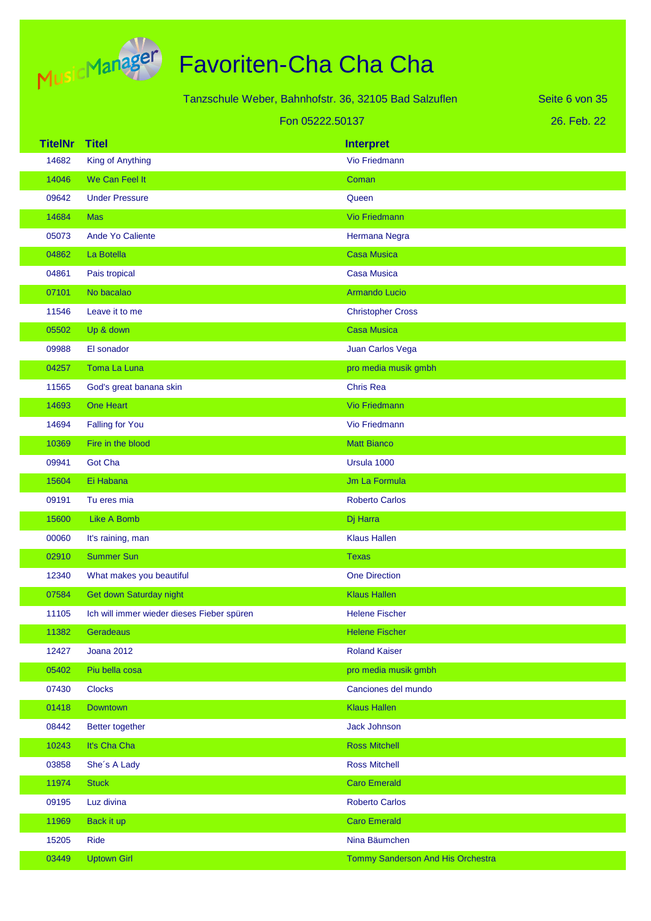

|                |                                            | Tanzschule Weber, Bahnhofstr. 36, 32105 Bad Salzuflen | Seite 6 von 35 |
|----------------|--------------------------------------------|-------------------------------------------------------|----------------|
|                |                                            | Fon 05222.50137                                       | 26. Feb. 22    |
| <b>TitelNr</b> | <b>Titel</b>                               | <b>Interpret</b>                                      |                |
| 14682          | <b>King of Anything</b>                    | Vio Friedmann                                         |                |
| 14046          | We Can Feel It                             | Coman                                                 |                |
| 09642          | <b>Under Pressure</b>                      | Queen                                                 |                |
| 14684          | <b>Mas</b>                                 | <b>Vio Friedmann</b>                                  |                |
| 05073          | Ande Yo Caliente                           | Hermana Negra                                         |                |
| 04862          | La Botella                                 | <b>Casa Musica</b>                                    |                |
| 04861          | Pais tropical                              | <b>Casa Musica</b>                                    |                |
| 07101          | No bacalao                                 | <b>Armando Lucio</b>                                  |                |
| 11546          | Leave it to me                             | <b>Christopher Cross</b>                              |                |
| 05502          | Up & down                                  | <b>Casa Musica</b>                                    |                |
| 09988          | El sonador                                 | Juan Carlos Vega                                      |                |
| 04257          | Toma La Luna                               | pro media musik gmbh                                  |                |
| 11565          | God's great banana skin                    | <b>Chris Rea</b>                                      |                |
| 14693          | One Heart                                  | <b>Vio Friedmann</b>                                  |                |
| 14694          | <b>Falling for You</b>                     | Vio Friedmann                                         |                |
| 10369          | Fire in the blood                          | <b>Matt Bianco</b>                                    |                |
| 09941          | <b>Got Cha</b>                             | Ursula 1000                                           |                |
| 15604          | Ei Habana                                  | Jm La Formula                                         |                |
| 09191          | Tu eres mia                                | <b>Roberto Carlos</b>                                 |                |
| 15600          | <b>Like A Bomb</b>                         | Dj Harra                                              |                |
| 00060          | It's raining, man                          | <b>Klaus Hallen</b>                                   |                |
| 02910          | <b>Summer Sun</b>                          | <b>Texas</b>                                          |                |
| 12340          | What makes you beautiful                   | <b>One Direction</b>                                  |                |
| 07584          | Get down Saturday night                    | <b>Klaus Hallen</b>                                   |                |
| 11105          | Ich will immer wieder dieses Fieber spüren | <b>Helene Fischer</b>                                 |                |
| 11382          | Geradeaus                                  | <b>Helene Fischer</b>                                 |                |
| 12427          | <b>Joana 2012</b>                          | <b>Roland Kaiser</b>                                  |                |
| 05402          | Piu bella cosa                             | pro media musik gmbh                                  |                |
| 07430          | <b>Clocks</b>                              | Canciones del mundo                                   |                |
| 01418          | <b>Downtown</b>                            | <b>Klaus Hallen</b>                                   |                |
| 08442          | <b>Better together</b>                     | <b>Jack Johnson</b>                                   |                |
| 10243          | It's Cha Cha                               | <b>Ross Mitchell</b>                                  |                |
| 03858          | She's A Lady                               | <b>Ross Mitchell</b>                                  |                |
| 11974          | <b>Stuck</b>                               | <b>Caro Emerald</b>                                   |                |
| 09195          | Luz divina                                 | <b>Roberto Carlos</b>                                 |                |
| 11969          | Back it up                                 | <b>Caro Emerald</b>                                   |                |
| 15205          | Ride                                       | Nina Bäumchen                                         |                |
| 03449          | <b>Uptown Girl</b>                         | Tommy Sanderson And His Orchestra                     |                |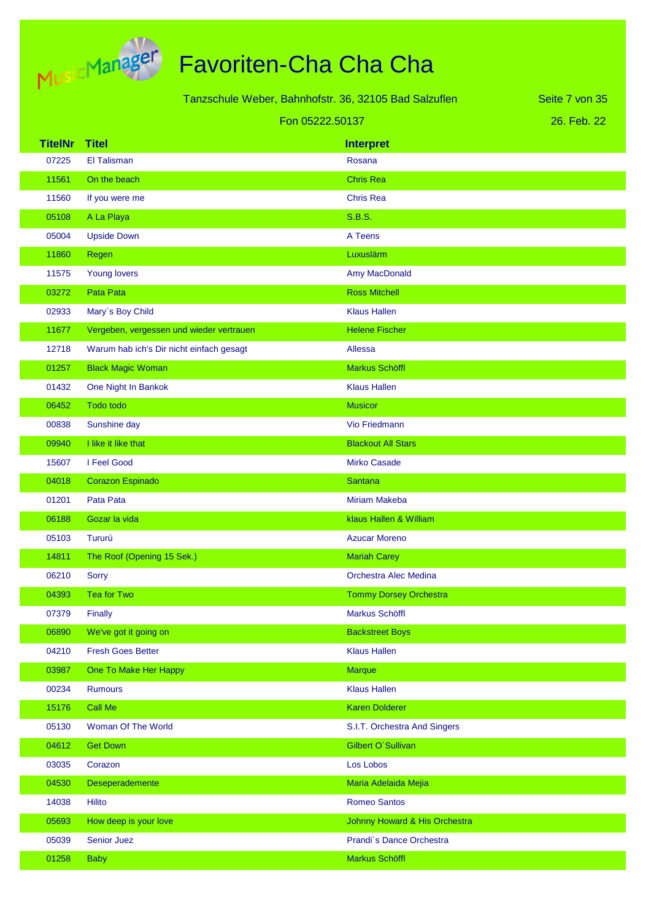

|                |                                          | Tanzschule Weber, Bahnhofstr. 36, 32105 Bad Salzuflen | Seite 7 von 35 |
|----------------|------------------------------------------|-------------------------------------------------------|----------------|
|                |                                          | Fon 05222.50137                                       | 26. Feb. 22    |
| <b>TitelNr</b> | <b>Titel</b>                             | <b>Interpret</b>                                      |                |
| 07225          | El Talisman                              | Rosana                                                |                |
| 11561          | On the beach                             | <b>Chris Rea</b>                                      |                |
| 11560          | If you were me                           | <b>Chris Rea</b>                                      |                |
| 05108          | A La Playa                               | <b>S.B.S.</b>                                         |                |
| 05004          | <b>Upside Down</b>                       | A Teens                                               |                |
| 11860          | Regen                                    | Luxuslärm                                             |                |
| 11575          | Young lovers                             | Amy MacDonald                                         |                |
| 03272          | Pata Pata                                | <b>Ross Mitchell</b>                                  |                |
| 02933          | Mary's Boy Child                         | <b>Klaus Hallen</b>                                   |                |
| 11677          | Vergeben, vergessen und wieder vertrauen | <b>Helene Fischer</b>                                 |                |
| 12718          | Warum hab ich's Dir nicht einfach gesagt | Allessa                                               |                |
| 01257          | <b>Black Magic Woman</b>                 | Markus Schöffl                                        |                |
| 01432          | One Night In Bankok                      | <b>Klaus Hallen</b>                                   |                |
| 06452          | Todo todo                                | <b>Musicor</b>                                        |                |
| 00838          | Sunshine day                             | Vio Friedmann                                         |                |
| 09940          | I like it like that                      | <b>Blackout All Stars</b>                             |                |
| 15607          | I Feel Good                              | <b>Mirko Casade</b>                                   |                |
| 04018          | Corazon Espinado                         | <b>Santana</b>                                        |                |
| 01201          | Pata Pata                                | <b>Miriam Makeba</b>                                  |                |
| 06188          | Gozar la vida                            | klaus Hallen & William                                |                |
| 05103          | Tururú                                   | <b>Azucar Moreno</b>                                  |                |
| 14811          | The Roof (Opening 15 Sek.)               | <b>Mariah Carey</b>                                   |                |
| 06210          | <b>Sorry</b>                             | Orchestra Alec Medina                                 |                |
| 04393          | <b>Tea for Two</b>                       | <b>Tommy Dorsey Orchestra</b>                         |                |
| 07379          | Finally                                  | Markus Schöffl                                        |                |
| 06890          | We've got it going on                    | <b>Backstreet Boys</b>                                |                |
| 04210          | <b>Fresh Goes Better</b>                 | <b>Klaus Hallen</b>                                   |                |
| 03987          | One To Make Her Happy                    | <b>Marque</b>                                         |                |
| 00234          | <b>Rumours</b>                           | <b>Klaus Hallen</b>                                   |                |
| 15176          | Call Me                                  | <b>Karen Dolderer</b>                                 |                |
| 05130          | Woman Of The World                       | S.I.T. Orchestra And Singers                          |                |
| 04612          | <b>Get Down</b>                          | Gilbert O'Sullivan                                    |                |
| 03035          | Corazon                                  | Los Lobos                                             |                |
| 04530          | Deseperademente                          | Maria Adelaida Mejia                                  |                |
| 14038          | Hilito                                   | <b>Romeo Santos</b>                                   |                |
| 05693          | How deep is your love                    | Johnny Howard & His Orchestra                         |                |
| 05039          | <b>Senior Juez</b>                       | Prandi's Dance Orchestra                              |                |
| 01258          | <b>Baby</b>                              | Markus Schöffl                                        |                |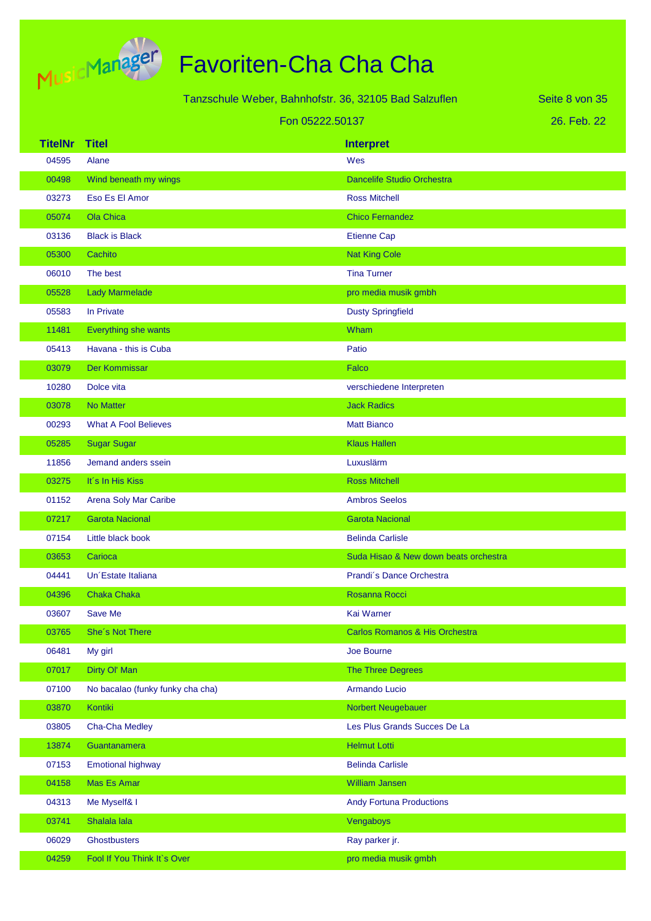

|                |                                  |                 | Tanzschule Weber, Bahnhofstr. 36, 32105 Bad Salzuflen | Seite 8 von 35 |
|----------------|----------------------------------|-----------------|-------------------------------------------------------|----------------|
|                |                                  | Fon 05222.50137 |                                                       | 26. Feb. 22    |
| <b>TitelNr</b> | <b>Titel</b>                     |                 |                                                       |                |
| 04595          | Alane                            |                 | <b>Interpret</b><br>Wes                               |                |
| 00498          | Wind beneath my wings            |                 | <b>Dancelife Studio Orchestra</b>                     |                |
| 03273          | Eso Es El Amor                   |                 | <b>Ross Mitchell</b>                                  |                |
| 05074          | <b>Ola Chica</b>                 |                 | <b>Chico Fernandez</b>                                |                |
| 03136          | <b>Black is Black</b>            |                 | <b>Etienne Cap</b>                                    |                |
| 05300          | Cachito                          |                 | <b>Nat King Cole</b>                                  |                |
| 06010          | The best                         |                 | <b>Tina Turner</b>                                    |                |
| 05528          | <b>Lady Marmelade</b>            |                 | pro media musik gmbh                                  |                |
| 05583          | In Private                       |                 | <b>Dusty Springfield</b>                              |                |
| 11481          | Everything she wants             |                 | Wham                                                  |                |
| 05413          | Havana - this is Cuba            |                 | Patio                                                 |                |
| 03079          | Der Kommissar                    |                 | Falco                                                 |                |
| 10280          | Dolce vita                       |                 | verschiedene Interpreten                              |                |
| 03078          | <b>No Matter</b>                 |                 | <b>Jack Radics</b>                                    |                |
| 00293          | <b>What A Fool Believes</b>      |                 | <b>Matt Bianco</b>                                    |                |
| 05285          | <b>Sugar Sugar</b>               |                 | <b>Klaus Hallen</b>                                   |                |
| 11856          | Jemand anders ssein              |                 | Luxuslärm                                             |                |
| 03275          | It's In His Kiss                 |                 | <b>Ross Mitchell</b>                                  |                |
| 01152          | Arena Soly Mar Caribe            |                 | <b>Ambros Seelos</b>                                  |                |
| 07217          | <b>Garota Nacional</b>           |                 | <b>Garota Nacional</b>                                |                |
| 07154          | Little black book                |                 | <b>Belinda Carlisle</b>                               |                |
| 03653          | Carioca                          |                 | Suda Hisao & New down beats orchestra                 |                |
| 04441          | Un Estate Italiana               |                 | Prandi's Dance Orchestra                              |                |
| 04396          | <b>Chaka Chaka</b>               |                 | Rosanna Rocci                                         |                |
| 03607          | Save Me                          |                 | Kai Warner                                            |                |
| 03765          | She's Not There                  |                 | Carlos Romanos & His Orchestra                        |                |
| 06481          | My girl                          |                 | Joe Bourne                                            |                |
| 07017          | Dirty Ol' Man                    |                 | <b>The Three Degrees</b>                              |                |
| 07100          | No bacalao (funky funky cha cha) |                 | Armando Lucio                                         |                |
| 03870          | Kontiki                          |                 | Norbert Neugebauer                                    |                |
| 03805          | Cha-Cha Medley                   |                 | Les Plus Grands Succes De La                          |                |
| 13874          | Guantanamera                     |                 | <b>Helmut Lotti</b>                                   |                |
| 07153          | <b>Emotional highway</b>         |                 | <b>Belinda Carlisle</b>                               |                |
| 04158          | Mas Es Amar                      |                 | <b>William Jansen</b>                                 |                |
| 04313          | Me Myself& I                     |                 | <b>Andy Fortuna Productions</b>                       |                |
| 03741          | Shalala lala                     |                 | Vengaboys                                             |                |
| 06029          | <b>Ghostbusters</b>              |                 | Ray parker jr.                                        |                |
| 04259          | Fool If You Think It's Over      |                 | pro media musik gmbh                                  |                |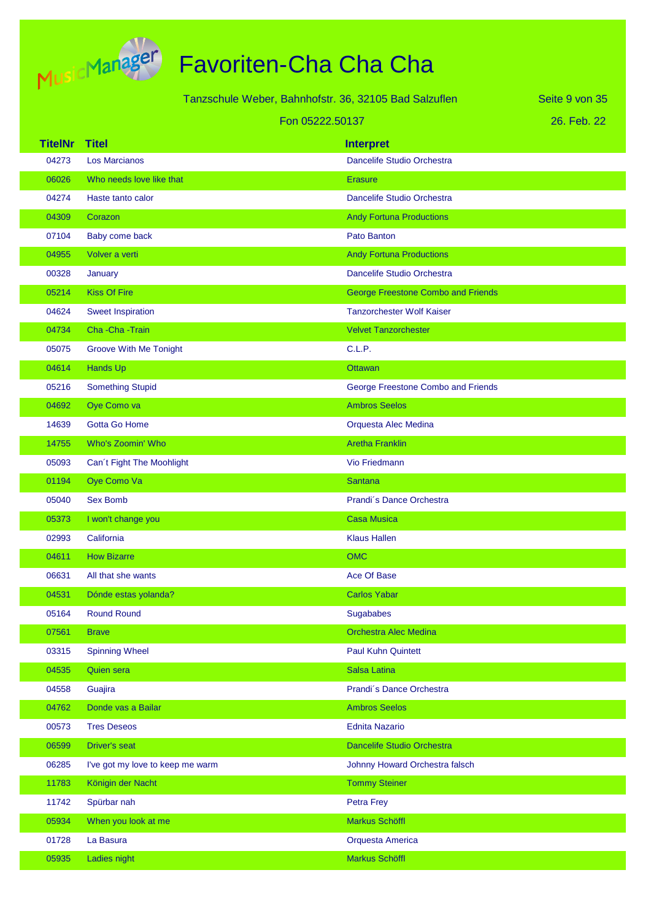

|                 |                                  | Tanzschule Weber, Bahnhofstr. 36, 32105 Bad Salzuflen | Seite 9 von 35 |
|-----------------|----------------------------------|-------------------------------------------------------|----------------|
| Fon 05222.50137 |                                  |                                                       | 26. Feb. 22    |
| <b>TitelNr</b>  | <b>Titel</b>                     | <b>Interpret</b>                                      |                |
| 04273           | <b>Los Marcianos</b>             | Dancelife Studio Orchestra                            |                |
| 06026           | Who needs love like that         | <b>Erasure</b>                                        |                |
| 04274           | Haste tanto calor                | Dancelife Studio Orchestra                            |                |
| 04309           | Corazon                          | <b>Andy Fortuna Productions</b>                       |                |
| 07104           | Baby come back                   | Pato Banton                                           |                |
| 04955           | Volver a verti                   | <b>Andy Fortuna Productions</b>                       |                |
| 00328           | January                          | Dancelife Studio Orchestra                            |                |
| 05214           | <b>Kiss Of Fire</b>              | <b>George Freestone Combo and Friends</b>             |                |
| 04624           | <b>Sweet Inspiration</b>         | <b>Tanzorchester Wolf Kaiser</b>                      |                |
| 04734           | Cha-Cha-Train                    | <b>Velvet Tanzorchester</b>                           |                |
| 05075           | <b>Groove With Me Tonight</b>    | C.L.P.                                                |                |
| 04614           | <b>Hands Up</b>                  | <b>Ottawan</b>                                        |                |
| 05216           | <b>Something Stupid</b>          | George Freestone Combo and Friends                    |                |
| 04692           | Oye Como va                      | <b>Ambros Seelos</b>                                  |                |
| 14639           | <b>Gotta Go Home</b>             | Orquesta Alec Medina                                  |                |
| 14755           | <b>Who's Zoomin' Who</b>         | <b>Aretha Franklin</b>                                |                |
| 05093           | Can't Fight The Moohlight        | Vio Friedmann                                         |                |
| 01194           | Oye Como Va                      | <b>Santana</b>                                        |                |
| 05040           | <b>Sex Bomb</b>                  | Prandi's Dance Orchestra                              |                |
| 05373           | I won't change you               | <b>Casa Musica</b>                                    |                |
| 02993           | California                       | <b>Klaus Hallen</b>                                   |                |
| 04611           | <b>How Bizarre</b>               | <b>OMC</b>                                            |                |
| 06631           | All that she wants               | Ace Of Base                                           |                |
| 04531           | Dónde estas yolanda?             | <b>Carlos Yabar</b>                                   |                |
| 05164           | <b>Round Round</b>               | Sugababes                                             |                |
| 07561           | <b>Brave</b>                     | Orchestra Alec Medina                                 |                |
| 03315           | <b>Spinning Wheel</b>            | <b>Paul Kuhn Quintett</b>                             |                |
| 04535           | <b>Quien sera</b>                | Salsa Latina                                          |                |
| 04558           | Guajira                          | Prandi's Dance Orchestra                              |                |
| 04762           | Donde vas a Bailar               | <b>Ambros Seelos</b>                                  |                |
| 00573           | <b>Tres Deseos</b>               | <b>Ednita Nazario</b>                                 |                |
| 06599           | <b>Driver's seat</b>             | Dancelife Studio Orchestra                            |                |
| 06285           | I've got my love to keep me warm | Johnny Howard Orchestra falsch                        |                |
| 11783           | Königin der Nacht                | <b>Tommy Steiner</b>                                  |                |
| 11742           | Spürbar nah                      | Petra Frey                                            |                |
| 05934           | When you look at me              | Markus Schöffl                                        |                |
| 01728           | La Basura                        | Orquesta America                                      |                |
| 05935           | Ladies night                     | Markus Schöffl                                        |                |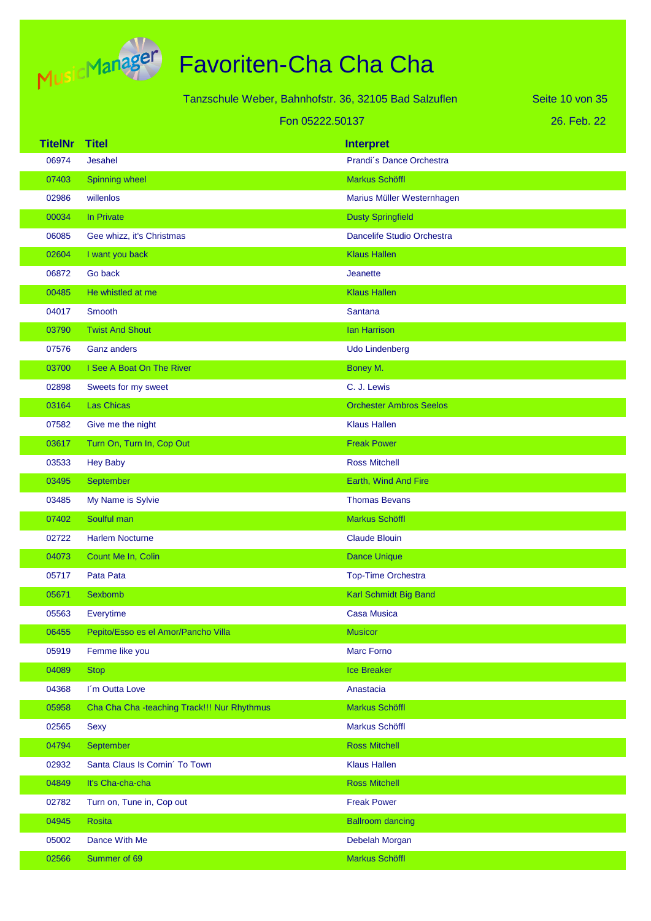

|                 |                                             | Tanzschule Weber, Bahnhofstr. 36, 32105 Bad Salzuflen | Seite 10 von 35 |
|-----------------|---------------------------------------------|-------------------------------------------------------|-----------------|
| Fon 05222.50137 |                                             |                                                       | 26. Feb. 22     |
| <b>TitelNr</b>  | <b>Titel</b>                                | <b>Interpret</b>                                      |                 |
| 06974           | Jesahel                                     | Prandi's Dance Orchestra                              |                 |
| 07403           | Spinning wheel                              | Markus Schöffl                                        |                 |
| 02986           | willenlos                                   | Marius Müller Westernhagen                            |                 |
| 00034           | In Private                                  | <b>Dusty Springfield</b>                              |                 |
| 06085           | Gee whizz, it's Christmas                   | Dancelife Studio Orchestra                            |                 |
| 02604           | I want you back                             | <b>Klaus Hallen</b>                                   |                 |
| 06872           | Go back                                     | <b>Jeanette</b>                                       |                 |
| 00485           | He whistled at me                           | <b>Klaus Hallen</b>                                   |                 |
| 04017           | Smooth                                      | <b>Santana</b>                                        |                 |
| 03790           | <b>Twist And Shout</b>                      | <b>Ian Harrison</b>                                   |                 |
| 07576           | <b>Ganz anders</b>                          | <b>Udo Lindenberg</b>                                 |                 |
| 03700           | I See A Boat On The River                   | Boney M.                                              |                 |
| 02898           | Sweets for my sweet                         | C. J. Lewis                                           |                 |
| 03164           | <b>Las Chicas</b>                           | <b>Orchester Ambros Seelos</b>                        |                 |
| 07582           | Give me the night                           | <b>Klaus Hallen</b>                                   |                 |
| 03617           | Turn On, Turn In, Cop Out                   | <b>Freak Power</b>                                    |                 |
| 03533           | <b>Hey Baby</b>                             | <b>Ross Mitchell</b>                                  |                 |
| 03495           | September                                   | Earth, Wind And Fire                                  |                 |
| 03485           | My Name is Sylvie                           | <b>Thomas Bevans</b>                                  |                 |
| 07402           | Soulful man                                 | Markus Schöffl                                        |                 |
| 02722           | <b>Harlem Nocturne</b>                      | <b>Claude Blouin</b>                                  |                 |
| 04073           | Count Me In, Colin                          | <b>Dance Unique</b>                                   |                 |
| 05717           | Pata Pata                                   | <b>Top-Time Orchestra</b>                             |                 |
| 05671           | Sexbomb                                     | Karl Schmidt Big Band                                 |                 |
| 05563           | Everytime                                   | <b>Casa Musica</b>                                    |                 |
| 06455           | Pepito/Esso es el Amor/Pancho Villa         | <b>Musicor</b>                                        |                 |
| 05919           | Femme like you                              | Marc Forno                                            |                 |
| 04089           | <b>Stop</b>                                 | <b>Ice Breaker</b>                                    |                 |
| 04368           | I'm Outta Love                              | Anastacia                                             |                 |
| 05958           | Cha Cha Cha -teaching Track!!! Nur Rhythmus | Markus Schöffl                                        |                 |
| 02565           | <b>Sexy</b>                                 | Markus Schöffl                                        |                 |
| 04794           | September                                   | <b>Ross Mitchell</b>                                  |                 |
| 02932           | Santa Claus Is Comin' To Town               | <b>Klaus Hallen</b>                                   |                 |
| 04849           | It's Cha-cha-cha                            | <b>Ross Mitchell</b>                                  |                 |
| 02782           | Turn on, Tune in, Cop out                   | <b>Freak Power</b>                                    |                 |
| 04945           | Rosita                                      | <b>Ballroom dancing</b>                               |                 |
| 05002           | Dance With Me                               | Debelah Morgan                                        |                 |
| 02566           | Summer of 69                                | Markus Schöffl                                        |                 |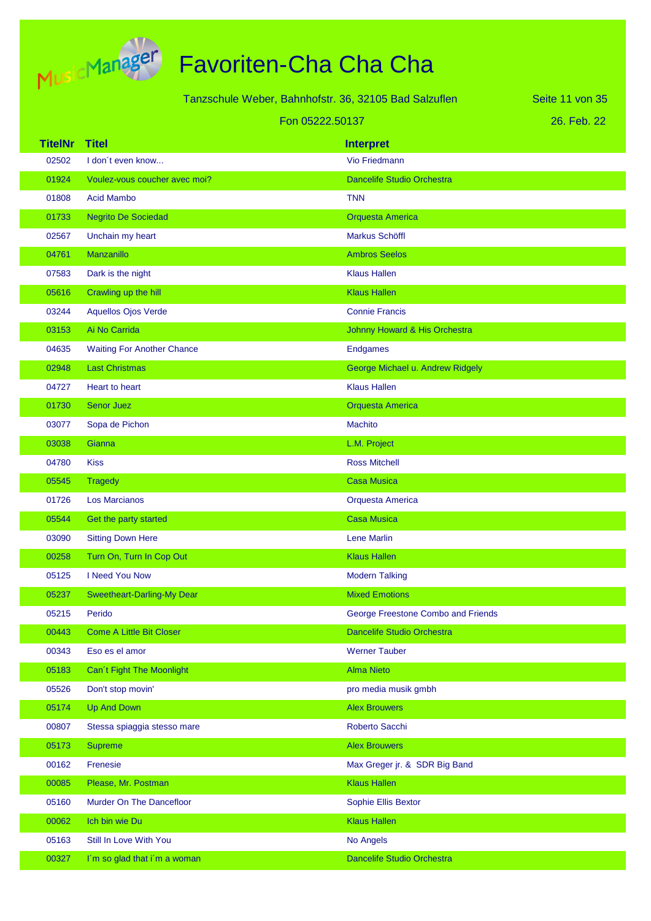

|                |                                   | Tanzschule Weber, Bahnhofstr. 36, 32105 Bad Salzuflen | Seite 11 von 35 |
|----------------|-----------------------------------|-------------------------------------------------------|-----------------|
|                |                                   | Fon 05222.50137                                       | 26. Feb. 22     |
| <b>TitelNr</b> | <b>Titel</b>                      | <b>Interpret</b>                                      |                 |
| 02502          | I don't even know                 | Vio Friedmann                                         |                 |
| 01924          | Voulez-vous coucher avec moi?     | <b>Dancelife Studio Orchestra</b>                     |                 |
| 01808          | <b>Acid Mambo</b>                 | TNN                                                   |                 |
| 01733          | <b>Negrito De Sociedad</b>        | <b>Orquesta America</b>                               |                 |
| 02567          | Unchain my heart                  | <b>Markus Schöffl</b>                                 |                 |
| 04761          | <b>Manzanillo</b>                 | <b>Ambros Seelos</b>                                  |                 |
| 07583          | Dark is the night                 | <b>Klaus Hallen</b>                                   |                 |
| 05616          | Crawling up the hill              | <b>Klaus Hallen</b>                                   |                 |
| 03244          | <b>Aquellos Ojos Verde</b>        | <b>Connie Francis</b>                                 |                 |
| 03153          | Ai No Carrida                     | Johnny Howard & His Orchestra                         |                 |
| 04635          | <b>Waiting For Another Chance</b> | <b>Endgames</b>                                       |                 |
| 02948          | <b>Last Christmas</b>             | George Michael u. Andrew Ridgely                      |                 |
| 04727          | <b>Heart to heart</b>             | <b>Klaus Hallen</b>                                   |                 |
| 01730          | <b>Senor Juez</b>                 | <b>Orquesta America</b>                               |                 |
| 03077          | Sopa de Pichon                    | <b>Machito</b>                                        |                 |
| 03038          | Gianna                            | L.M. Project                                          |                 |
| 04780          | <b>Kiss</b>                       | <b>Ross Mitchell</b>                                  |                 |
| 05545          | <b>Tragedy</b>                    | <b>Casa Musica</b>                                    |                 |
| 01726          | <b>Los Marcianos</b>              | Orquesta America                                      |                 |
| 05544          | Get the party started             | <b>Casa Musica</b>                                    |                 |
| 03090          | <b>Sitting Down Here</b>          | Lene Marlin                                           |                 |
| 00258          | Turn On, Turn In Cop Out          | <b>Klaus Hallen</b>                                   |                 |
| 05125          | I Need You Now                    | <b>Modern Talking</b>                                 |                 |
| 05237          | <b>Sweetheart-Darling-My Dear</b> | <b>Mixed Emotions</b>                                 |                 |
| 05215          | Perido                            | George Freestone Combo and Friends                    |                 |
| 00443          | <b>Come A Little Bit Closer</b>   | <b>Dancelife Studio Orchestra</b>                     |                 |
| 00343          | Eso es el amor                    | <b>Werner Tauber</b>                                  |                 |
| 05183          | Can't Fight The Moonlight         | <b>Alma Nieto</b>                                     |                 |
| 05526          | Don't stop movin'                 | pro media musik gmbh                                  |                 |
| 05174          | <b>Up And Down</b>                | <b>Alex Brouwers</b>                                  |                 |
| 00807          | Stessa spiaggia stesso mare       | Roberto Sacchi                                        |                 |
| 05173          | <b>Supreme</b>                    | <b>Alex Brouwers</b>                                  |                 |
| 00162          | Frenesie                          | Max Greger jr. & SDR Big Band                         |                 |
| 00085          | Please, Mr. Postman               | <b>Klaus Hallen</b>                                   |                 |
| 05160          | Murder On The Dancefloor          | Sophie Ellis Bextor                                   |                 |
| 00062          | Ich bin wie Du                    | <b>Klaus Hallen</b>                                   |                 |
| 05163          | Still In Love With You            | No Angels                                             |                 |
| 00327          | I'm so glad that i'm a woman      | Dancelife Studio Orchestra                            |                 |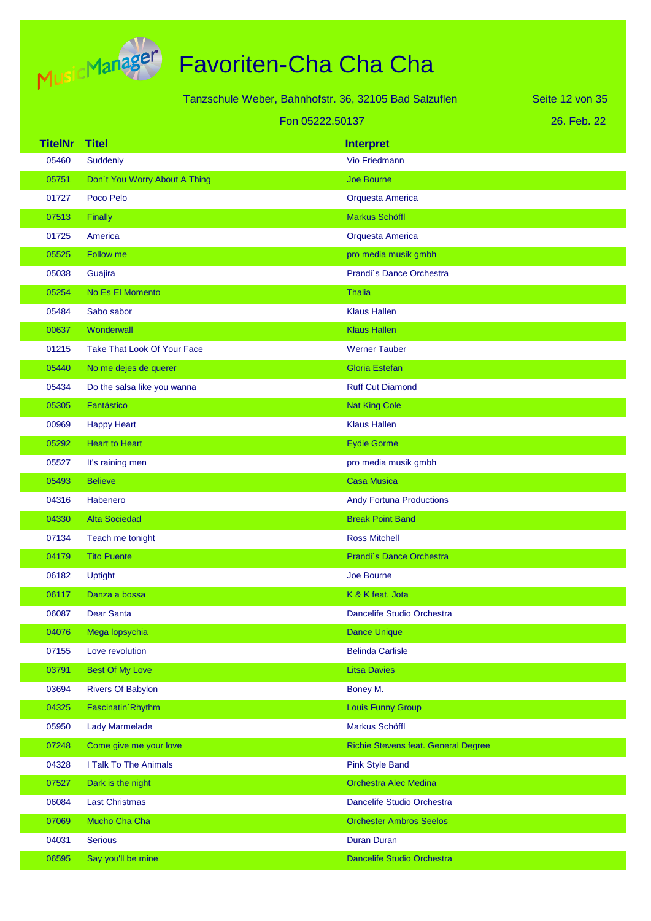

# Favoriten-Cha Cha Cha

| Tanzschule Weber, Bahnhofstr. 36, 32105 Bad Salzuflen<br>Seite 12 von 35 |                                    |                                     |             |
|--------------------------------------------------------------------------|------------------------------------|-------------------------------------|-------------|
|                                                                          | Fon 05222.50137                    |                                     | 26. Feb. 22 |
| <b>TitelNr</b>                                                           | <b>Titel</b>                       | <b>Interpret</b>                    |             |
| 05460                                                                    | Suddenly                           | Vio Friedmann                       |             |
| 05751                                                                    | Don't You Worry About A Thing      | <b>Joe Bourne</b>                   |             |
| 01727                                                                    | Poco Pelo                          | Orquesta America                    |             |
| 07513                                                                    | Finally                            | Markus Schöffl                      |             |
| 01725                                                                    | America                            | Orquesta America                    |             |
| 05525                                                                    | Follow me                          | pro media musik gmbh                |             |
| 05038                                                                    | Guajira                            | Prandi's Dance Orchestra            |             |
| 05254                                                                    | No Es El Momento                   | <b>Thalia</b>                       |             |
| 05484                                                                    | Sabo sabor                         | <b>Klaus Hallen</b>                 |             |
| 00637                                                                    | Wonderwall                         | <b>Klaus Hallen</b>                 |             |
| 01215                                                                    | <b>Take That Look Of Your Face</b> | <b>Werner Tauber</b>                |             |
| 05440                                                                    | No me dejes de querer              | <b>Gloria Estefan</b>               |             |
| 05434                                                                    | Do the salsa like you wanna        | <b>Ruff Cut Diamond</b>             |             |
| 05305                                                                    | Fantástico                         | <b>Nat King Cole</b>                |             |
| 00969                                                                    | <b>Happy Heart</b>                 | <b>Klaus Hallen</b>                 |             |
| 05292                                                                    | <b>Heart to Heart</b>              | <b>Eydie Gorme</b>                  |             |
| 05527                                                                    | It's raining men                   | pro media musik gmbh                |             |
| 05493                                                                    | <b>Believe</b>                     | <b>Casa Musica</b>                  |             |
| 04316                                                                    | Habenero                           | <b>Andy Fortuna Productions</b>     |             |
| 04330                                                                    | <b>Alta Sociedad</b>               | <b>Break Point Band</b>             |             |
| 07134                                                                    | Teach me tonight                   | <b>Ross Mitchell</b>                |             |
| 04179                                                                    | <b>Tito Puente</b>                 | Prandi's Dance Orchestra            |             |
| 06182                                                                    | <b>Uptight</b>                     | Joe Bourne                          |             |
| 06117                                                                    | Danza a bossa                      | K & K feat. Jota                    |             |
| 06087                                                                    | <b>Dear Santa</b>                  | Dancelife Studio Orchestra          |             |
| 04076                                                                    | Mega lopsychia                     | <b>Dance Unique</b>                 |             |
| 07155                                                                    | Love revolution                    | <b>Belinda Carlisle</b>             |             |
| 03791                                                                    | <b>Best Of My Love</b>             | <b>Litsa Davies</b>                 |             |
| 03694                                                                    | <b>Rivers Of Babylon</b>           | Boney M.                            |             |
| 04325                                                                    | Fascinatin' Rhythm                 | Louis Funny Group                   |             |
| 05950                                                                    | <b>Lady Marmelade</b>              | Markus Schöffl                      |             |
| 07248                                                                    | Come give me your love             | Richie Stevens feat. General Degree |             |
| 04328                                                                    | I Talk To The Animals              | <b>Pink Style Band</b>              |             |
| 07527                                                                    | Dark is the night                  | <b>Orchestra Alec Medina</b>        |             |
| 06084                                                                    | <b>Last Christmas</b>              | Dancelife Studio Orchestra          |             |
| 07069                                                                    | Mucho Cha Cha                      | <b>Orchester Ambros Seelos</b>      |             |
| 04031                                                                    | <b>Serious</b>                     | <b>Duran Duran</b>                  |             |

06595 Say you'll be mine Dancelife Studio Orchestra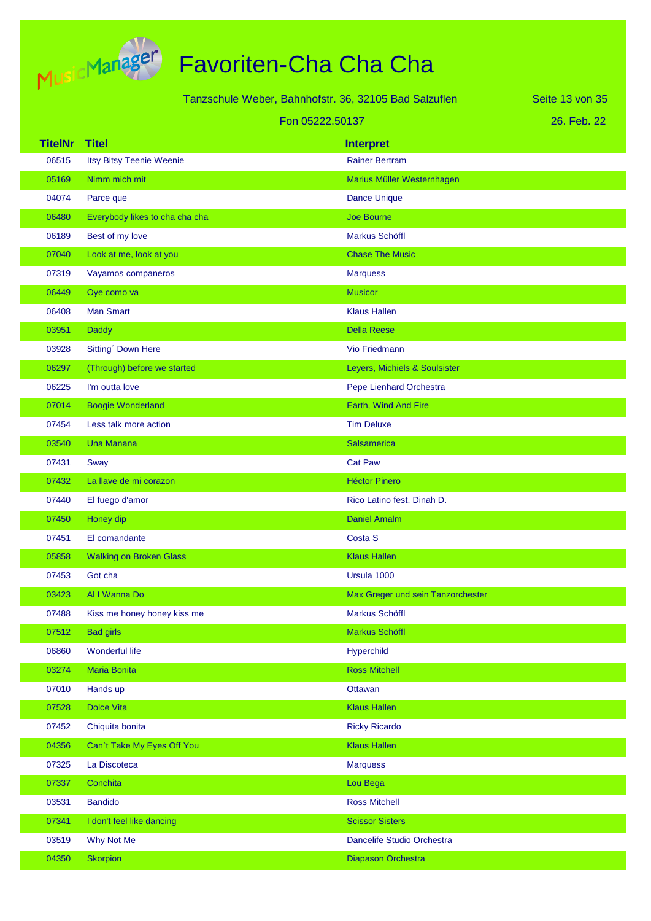

| Tanzschule Weber, Bahnhofstr. 36, 32105 Bad Salzuflen |                                 |                                   | Seite 13 von 35 |
|-------------------------------------------------------|---------------------------------|-----------------------------------|-----------------|
| Fon 05222.50137                                       |                                 |                                   | 26. Feb. 22     |
| <b>TitelNr</b>                                        | <b>Titel</b>                    | <b>Interpret</b>                  |                 |
| 06515                                                 | <b>Itsy Bitsy Teenie Weenie</b> | <b>Rainer Bertram</b>             |                 |
| 05169                                                 | Nimm mich mit                   | Marius Müller Westernhagen        |                 |
| 04074                                                 | Parce que                       | <b>Dance Unique</b>               |                 |
| 06480                                                 | Everybody likes to cha cha cha  | Joe Bourne                        |                 |
| 06189                                                 | Best of my love                 | <b>Markus Schöffl</b>             |                 |
| 07040                                                 | Look at me, look at you         | <b>Chase The Music</b>            |                 |
| 07319                                                 | Vayamos companeros              | <b>Marquess</b>                   |                 |
| 06449                                                 | Oye como va                     | <b>Musicor</b>                    |                 |
| 06408                                                 | <b>Man Smart</b>                | <b>Klaus Hallen</b>               |                 |
| 03951                                                 | <b>Daddy</b>                    | <b>Della Reese</b>                |                 |
| 03928                                                 | Sitting' Down Here              | <b>Vio Friedmann</b>              |                 |
| 06297                                                 | (Through) before we started     | Leyers, Michiels & Soulsister     |                 |
| 06225                                                 | I'm outta love                  | Pepe Lienhard Orchestra           |                 |
| 07014                                                 | <b>Boogie Wonderland</b>        | Earth, Wind And Fire              |                 |
| 07454                                                 | Less talk more action           | <b>Tim Deluxe</b>                 |                 |
| 03540                                                 | <b>Una Manana</b>               | Salsamerica                       |                 |
| 07431                                                 | Sway                            | <b>Cat Paw</b>                    |                 |
| 07432                                                 | La llave de mi corazon          | <b>Héctor Pinero</b>              |                 |
| 07440                                                 | El fuego d'amor                 | Rico Latino fest. Dinah D.        |                 |
| 07450                                                 | Honey dip                       | <b>Daniel Amalm</b>               |                 |
| 07451                                                 | El comandante                   | Costa S                           |                 |
| 05858                                                 | <b>Walking on Broken Glass</b>  | <b>Klaus Hallen</b>               |                 |
| 07453                                                 | Got cha                         | Ursula 1000                       |                 |
| 03423                                                 | Al I Wanna Do                   | Max Greger und sein Tanzorchester |                 |
| 07488                                                 | Kiss me honey honey kiss me     | Markus Schöffl                    |                 |
| 07512                                                 | <b>Bad girls</b>                | Markus Schöffl                    |                 |
| 06860                                                 | Wonderful life                  | Hyperchild                        |                 |
| 03274                                                 | Maria Bonita                    | <b>Ross Mitchell</b>              |                 |
| 07010                                                 | Hands up                        | Ottawan                           |                 |
| 07528                                                 | <b>Dolce Vita</b>               | <b>Klaus Hallen</b>               |                 |
| 07452                                                 | Chiquita bonita                 | <b>Ricky Ricardo</b>              |                 |
| 04356                                                 | Can't Take My Eyes Off You      | <b>Klaus Hallen</b>               |                 |
| 07325                                                 | La Discoteca                    | <b>Marquess</b>                   |                 |
| 07337                                                 | Conchita                        | Lou Bega                          |                 |
| 03531                                                 | <b>Bandido</b>                  | <b>Ross Mitchell</b>              |                 |
| 07341                                                 | I don't feel like dancing       | <b>Scissor Sisters</b>            |                 |
| 03519                                                 | Why Not Me                      | Dancelife Studio Orchestra        |                 |
| 04350                                                 | <b>Skorpion</b>                 | Diapason Orchestra                |                 |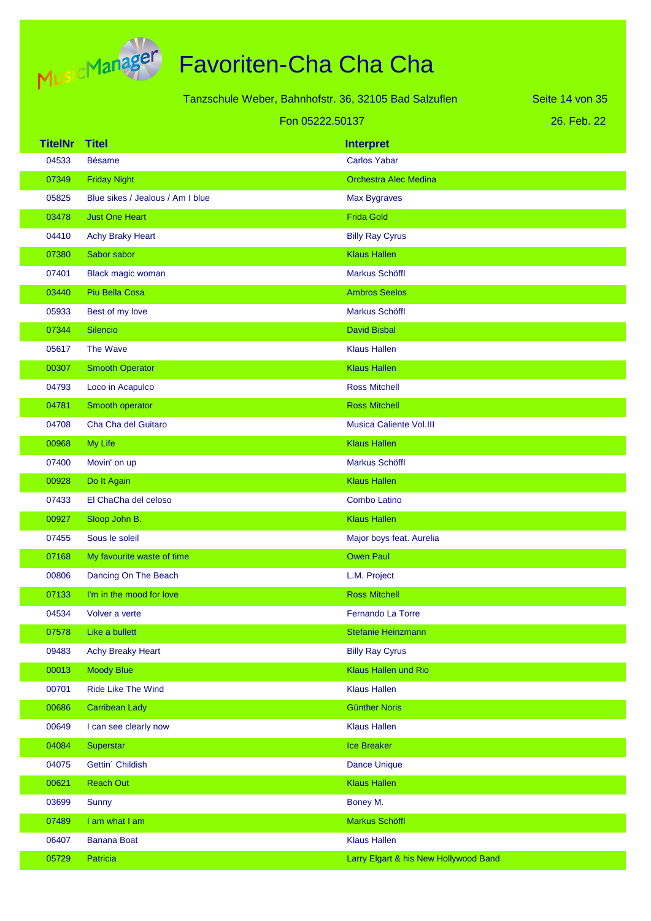

|                |                                  | Tanzschule Weber, Bahnhofstr. 36, 32105 Bad Salzuflen | Seite 14 von 35 |
|----------------|----------------------------------|-------------------------------------------------------|-----------------|
|                |                                  | Fon 05222.50137                                       | 26. Feb. 22     |
| <b>TitelNr</b> | <b>Titel</b>                     | <b>Interpret</b>                                      |                 |
| 04533          | <b>Bésame</b>                    | <b>Carlos Yabar</b>                                   |                 |
| 07349          | <b>Friday Night</b>              | <b>Orchestra Alec Medina</b>                          |                 |
| 05825          | Blue sikes / Jealous / Am I blue | Max Bygraves                                          |                 |
| 03478          | <b>Just One Heart</b>            | <b>Frida Gold</b>                                     |                 |
| 04410          | <b>Achy Braky Heart</b>          | <b>Billy Ray Cyrus</b>                                |                 |
| 07380          | Sabor sabor                      | <b>Klaus Hallen</b>                                   |                 |
| 07401          | Black magic woman                | Markus Schöffl                                        |                 |
| 03440          | Piu Bella Cosa                   | <b>Ambros Seelos</b>                                  |                 |
| 05933          | Best of my love                  | <b>Markus Schöffl</b>                                 |                 |
| 07344          | Silencio                         | <b>David Bisbal</b>                                   |                 |
| 05617          | The Wave                         | <b>Klaus Hallen</b>                                   |                 |
| 00307          | <b>Smooth Operator</b>           | <b>Klaus Hallen</b>                                   |                 |
| 04793          | Loco in Acapulco                 | <b>Ross Mitchell</b>                                  |                 |
| 04781          | Smooth operator                  | <b>Ross Mitchell</b>                                  |                 |
| 04708          | Cha Cha del Guitaro              | <b>Musica Caliente Vol.III</b>                        |                 |
| 00968          | My Life                          | <b>Klaus Hallen</b>                                   |                 |
| 07400          | Movin' on up                     | <b>Markus Schöffl</b>                                 |                 |
| 00928          | Do It Again                      | <b>Klaus Hallen</b>                                   |                 |
| 07433          | El ChaCha del celoso             | <b>Combo Latino</b>                                   |                 |
| 00927          | Sloop John B.                    | <b>Klaus Hallen</b>                                   |                 |
| 07455          | Sous le soleil                   | Major boys feat. Aurelia                              |                 |
| 07168          | My favourite waste of time       | <b>Owen Paul</b>                                      |                 |
| 00806          | Dancing On The Beach             | L.M. Project                                          |                 |
| 07133          | I'm in the mood for love         | <b>Ross Mitchell</b>                                  |                 |
| 04534          | Volver a verte                   | Fernando La Torre                                     |                 |
| 07578          | Like a bullett                   | Stefanie Heinzmann                                    |                 |
| 09483          | <b>Achy Breaky Heart</b>         | <b>Billy Ray Cyrus</b>                                |                 |
| 00013          | <b>Moody Blue</b>                | Klaus Hallen und Rio                                  |                 |
| 00701          | Ride Like The Wind               | <b>Klaus Hallen</b>                                   |                 |
| 00686          | <b>Carribean Lady</b>            | <b>Günther Noris</b>                                  |                 |
| 00649          | I can see clearly now            | <b>Klaus Hallen</b>                                   |                 |
| 04084          | Superstar                        | Ice Breaker                                           |                 |
| 04075          | Gettin' Childish                 | Dance Unique                                          |                 |
| 00621          | <b>Reach Out</b>                 | <b>Klaus Hallen</b>                                   |                 |
| 03699          | Sunny                            | Boney M.                                              |                 |
| 07489          | I am what I am                   | Markus Schöffl                                        |                 |
| 06407          | <b>Banana Boat</b>               | <b>Klaus Hallen</b>                                   |                 |
| 05729          | Patricia                         | Larry Elgart & his New Hollywood Band                 |                 |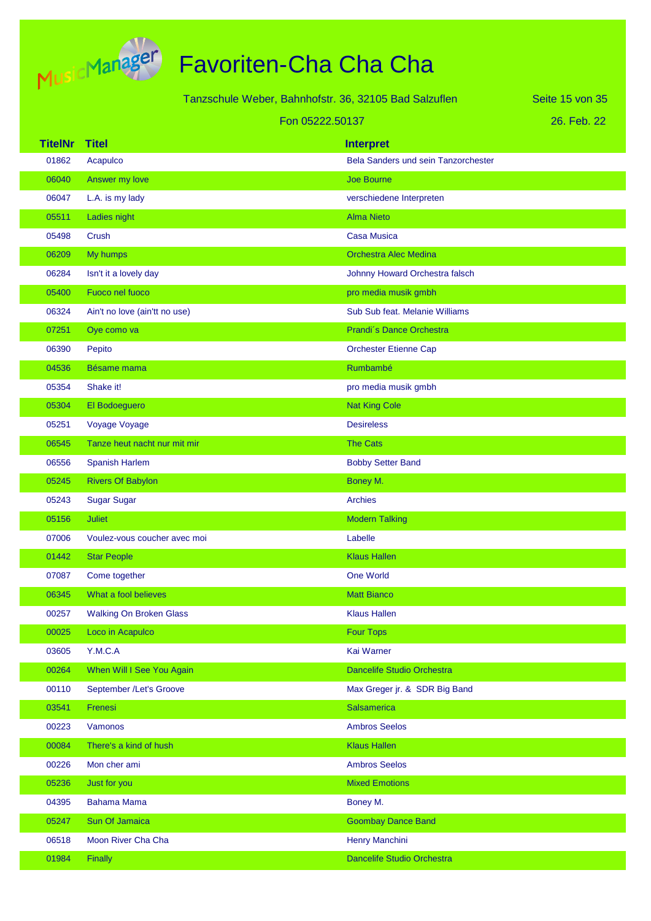

**TitelNr Titel Interpret** 26. Feb. 22 Seite 15 von 35 Tanzschule Weber, Bahnhofstr. 36, 32105 Bad Salzuflen Fon 05222.50137 01862 Acapulco Bela Sanders und sein Tanzorchester of the determination of the state of the state of the state of the state of the state of the state of the state of the state of the state of the state of the state of the state of the state of the state of the state of the 06047 L.A. is my lady verschiedene Interpreten 05511 Ladies night Alma Nieto Alma Nieto Alma Nieto 05498 Crush Casa Musica 06209 My humps Orchestra Alec Medina 06284 Isn't it a lovely day Johnny Howard Orchestra falsch 05400 Fuoco nel fuoco pro media musik gmbh 06324 Ain't no love (ain'tt no use) Sub Sub Sub Feat. Melanie Williams 07251 Oye como va Prandi<sup>o</sup>s Dance Orchestra 06390 Pepito Orchester Etienne Cap 04536 Bésame mama Rumbambé Bésame mama Rumbambé Bésame mama Rumbambé Bésar 05354 Shake it! pro media musik gmbh 05304 El Bodoeguero Nat King Cole Nat King Cole 05251 Voyage Voyage Desireless 06545 Tanze heut nacht nur mit mir The Cats The Cats 06556 Spanish Harlem Bobby Setter Band 05245 Rivers Of Babylon Boney M. Boney M. 05243 Sugar Sugar Archies 05156 Juliet Modern Talking 07006 Voulez-vous coucher avec moi Labelle **01442** Star People **Klaus Hallen** 07087 Come together Come to the Come world 06345 What a fool believes Matt Bianco Matt Bianco 00257 Walking On Broken Glass **Klaus Hallen** 00025 Loco in Acapulco Four Tops and Tops and Tops and Tops and Tops and Tops and Tops and Tops and Tops and Tops and Tops and Tops and Tops and Tops and Tops and Tops and Tops and Tops and Tops and Tops and Tops and Tops 03605 Y.M.C.A Kai Warner 00264 When Will I See You Again Dancelife Studio Orchestra Dancelife Studio Orchestra 00110 September /Let's Groove **Max Greger in Acception** Max Greger jr. & SDR Big Band 03541 Frenesi Salsamerica Salsamerica Salsamerica Salsamerica Salsamerica 00223 Vamonos **Ambros Seelos** Ambros Seelos 00084 There's a kind of hush Klaus Hallen Klaus Hallen 00226 Mon cher ami Ambros Seelos 05236 Just for you Mixed Emotions of the Control of the Control of the Mixed Emotions 04395 Bahama Mama Boney M. 05247 Sun Of Jamaica Goombay Dance Band 06518 Moon River Cha Cha **Henry Manchini** Henry Manchini

01984 Finally Dancelife Studio Orchestra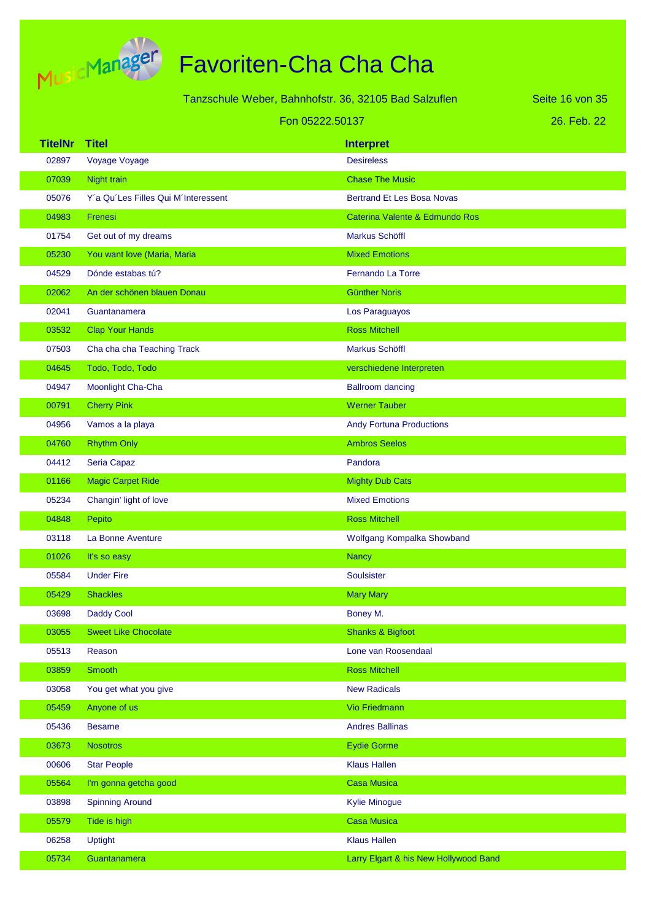

| Tanzschule Weber, Bahnhofstr. 36, 32105 Bad Salzuflen |                                     |                                       | Seite 16 von 35 |
|-------------------------------------------------------|-------------------------------------|---------------------------------------|-----------------|
|                                                       | Fon 05222.50137                     |                                       | 26. Feb. 22     |
| <b>TitelNr</b>                                        | <b>Titel</b>                        | <b>Interpret</b>                      |                 |
| 02897                                                 | Voyage Voyage                       | <b>Desireless</b>                     |                 |
| 07039                                                 | Night train                         | <b>Chase The Music</b>                |                 |
| 05076                                                 | Y'a Qu'Les Filles Qui M'Interessent | <b>Bertrand Et Les Bosa Novas</b>     |                 |
| 04983                                                 | Frenesi                             | Caterina Valente & Edmundo Ros        |                 |
| 01754                                                 | Get out of my dreams                | Markus Schöffl                        |                 |
| 05230                                                 | You want love (Maria, Maria         | <b>Mixed Emotions</b>                 |                 |
| 04529                                                 | Dónde estabas tú?                   | <b>Fernando La Torre</b>              |                 |
| 02062                                                 | An der schönen blauen Donau         | <b>Günther Noris</b>                  |                 |
| 02041                                                 | Guantanamera                        | Los Paraguayos                        |                 |
| 03532                                                 | <b>Clap Your Hands</b>              | <b>Ross Mitchell</b>                  |                 |
| 07503                                                 | Cha cha cha Teaching Track          | Markus Schöffl                        |                 |
| 04645                                                 | Todo, Todo, Todo                    | verschiedene Interpreten              |                 |
| 04947                                                 | Moonlight Cha-Cha                   | <b>Ballroom dancing</b>               |                 |
| 00791                                                 | <b>Cherry Pink</b>                  | <b>Werner Tauber</b>                  |                 |
| 04956                                                 | Vamos a la playa                    | <b>Andy Fortuna Productions</b>       |                 |
| 04760                                                 | <b>Rhythm Only</b>                  | <b>Ambros Seelos</b>                  |                 |
| 04412                                                 | Seria Capaz                         | Pandora                               |                 |
| 01166                                                 | <b>Magic Carpet Ride</b>            | <b>Mighty Dub Cats</b>                |                 |
| 05234                                                 | Changin' light of love              | <b>Mixed Emotions</b>                 |                 |
| 04848                                                 | Pepito                              | <b>Ross Mitchell</b>                  |                 |
| 03118                                                 | La Bonne Aventure                   | Wolfgang Kompalka Showband            |                 |
| 01026                                                 | It's so easy                        | <b>Nancy</b>                          |                 |
| 05584                                                 | <b>Under Fire</b>                   | Soulsister                            |                 |
| 05429                                                 | <b>Shackles</b>                     | <b>Mary Mary</b>                      |                 |
| 03698                                                 | <b>Daddy Cool</b>                   | Boney M.                              |                 |
| 03055                                                 | <b>Sweet Like Chocolate</b>         | <b>Shanks &amp; Bigfoot</b>           |                 |
| 05513                                                 | Reason                              | Lone van Roosendaal                   |                 |
| 03859                                                 | <b>Smooth</b>                       | <b>Ross Mitchell</b>                  |                 |
| 03058                                                 | You get what you give               | <b>New Radicals</b>                   |                 |
| 05459                                                 | Anyone of us                        | Vio Friedmann                         |                 |
| 05436                                                 | <b>Besame</b>                       | <b>Andres Ballinas</b>                |                 |
| 03673                                                 | <b>Nosotros</b>                     | <b>Eydie Gorme</b>                    |                 |
| 00606                                                 | <b>Star People</b>                  | <b>Klaus Hallen</b>                   |                 |
| 05564                                                 | I'm gonna getcha good               | <b>Casa Musica</b>                    |                 |
| 03898                                                 | <b>Spinning Around</b>              | <b>Kylie Minogue</b>                  |                 |
| 05579                                                 | Tide is high                        | <b>Casa Musica</b>                    |                 |
| 06258                                                 | <b>Uptight</b>                      | <b>Klaus Hallen</b>                   |                 |
| 05734                                                 | Guantanamera                        | Larry Elgart & his New Hollywood Band |                 |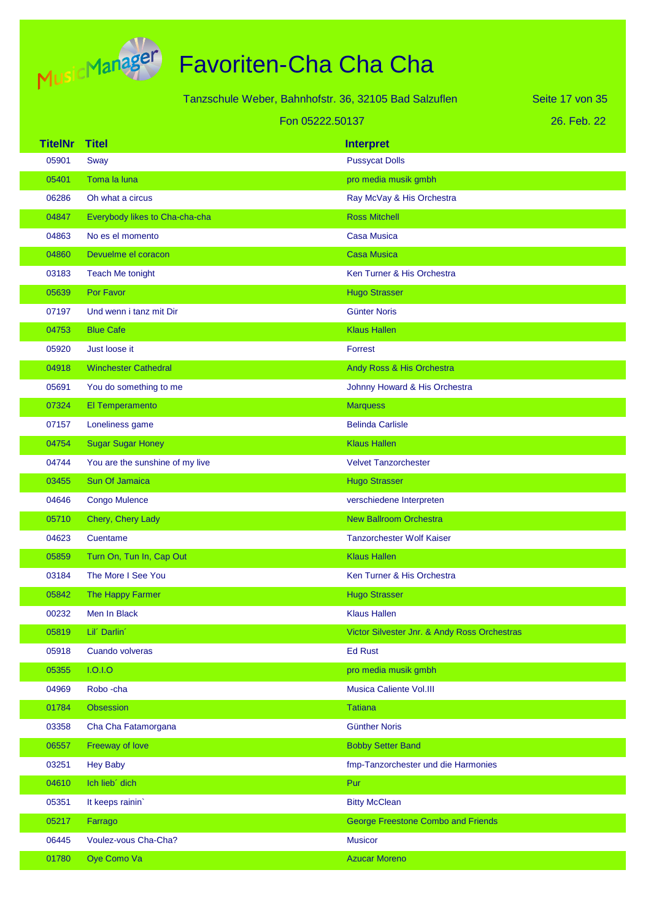

|                 | Tanzschule Weber, Bahnhofstr. 36, 32105 Bad Salzuflen |                                              | Seite 17 von 35 |
|-----------------|-------------------------------------------------------|----------------------------------------------|-----------------|
| Fon 05222.50137 |                                                       |                                              | 26. Feb. 22     |
| <b>TitelNr</b>  | <b>Titel</b>                                          | <b>Interpret</b>                             |                 |
| 05901           | Sway                                                  | <b>Pussycat Dolls</b>                        |                 |
| 05401           | Toma la luna                                          | pro media musik gmbh                         |                 |
| 06286           | Oh what a circus                                      | Ray McVay & His Orchestra                    |                 |
| 04847           | Everybody likes to Cha-cha-cha                        | <b>Ross Mitchell</b>                         |                 |
| 04863           | No es el momento                                      | <b>Casa Musica</b>                           |                 |
| 04860           | Devuelme el coracon                                   | <b>Casa Musica</b>                           |                 |
| 03183           | <b>Teach Me tonight</b>                               | Ken Turner & His Orchestra                   |                 |
| 05639           | Por Favor                                             | <b>Hugo Strasser</b>                         |                 |
| 07197           | Und wenn i tanz mit Dir                               | <b>Günter Noris</b>                          |                 |
| 04753           | <b>Blue Cafe</b>                                      | <b>Klaus Hallen</b>                          |                 |
| 05920           | Just loose it                                         | Forrest                                      |                 |
| 04918           | <b>Winchester Cathedral</b>                           | Andy Ross & His Orchestra                    |                 |
| 05691           | You do something to me                                | Johnny Howard & His Orchestra                |                 |
| 07324           | El Temperamento                                       | <b>Marquess</b>                              |                 |
| 07157           | Loneliness game                                       | <b>Belinda Carlisle</b>                      |                 |
| 04754           | <b>Sugar Sugar Honey</b>                              | <b>Klaus Hallen</b>                          |                 |
| 04744           | You are the sunshine of my live                       | <b>Velvet Tanzorchester</b>                  |                 |
| 03455           | <b>Sun Of Jamaica</b>                                 | <b>Hugo Strasser</b>                         |                 |
| 04646           | <b>Congo Mulence</b>                                  | verschiedene Interpreten                     |                 |
| 05710           | Chery, Chery Lady                                     | <b>New Ballroom Orchestra</b>                |                 |
| 04623           | Cuentame                                              | <b>Tanzorchester Wolf Kaiser</b>             |                 |
| 05859           | Turn On, Tun In, Cap Out                              | <b>Klaus Hallen</b>                          |                 |
| 03184           | The More I See You                                    | Ken Turner & His Orchestra                   |                 |
| 05842           | The Happy Farmer                                      | <b>Hugo Strasser</b>                         |                 |
| 00232           | Men In Black                                          | <b>Klaus Hallen</b>                          |                 |
| 05819           | Lil' Darlin'                                          | Victor Silvester Jnr. & Andy Ross Orchestras |                 |
| 05918           | Cuando volveras                                       | <b>Ed Rust</b>                               |                 |
| 05355           | I.O.I.O                                               | pro media musik gmbh                         |                 |
| 04969           | Robo-cha                                              | Musica Caliente Vol.III                      |                 |
| 01784           | Obsession                                             | <b>Tatiana</b>                               |                 |
| 03358           | Cha Cha Fatamorgana                                   | <b>Günther Noris</b>                         |                 |
| 06557           | Freeway of love                                       | <b>Bobby Setter Band</b>                     |                 |
| 03251           | <b>Hey Baby</b>                                       | fmp-Tanzorchester und die Harmonies          |                 |
| 04610           | Ich lieb' dich                                        | Pur                                          |                 |
| 05351           | It keeps rainin'                                      | <b>Bitty McClean</b>                         |                 |
| 05217           | Farrago                                               | <b>George Freestone Combo and Friends</b>    |                 |
| 06445           | Voulez-vous Cha-Cha?                                  | <b>Musicor</b>                               |                 |
| 01780           | Oye Como Va                                           | <b>Azucar Moreno</b>                         |                 |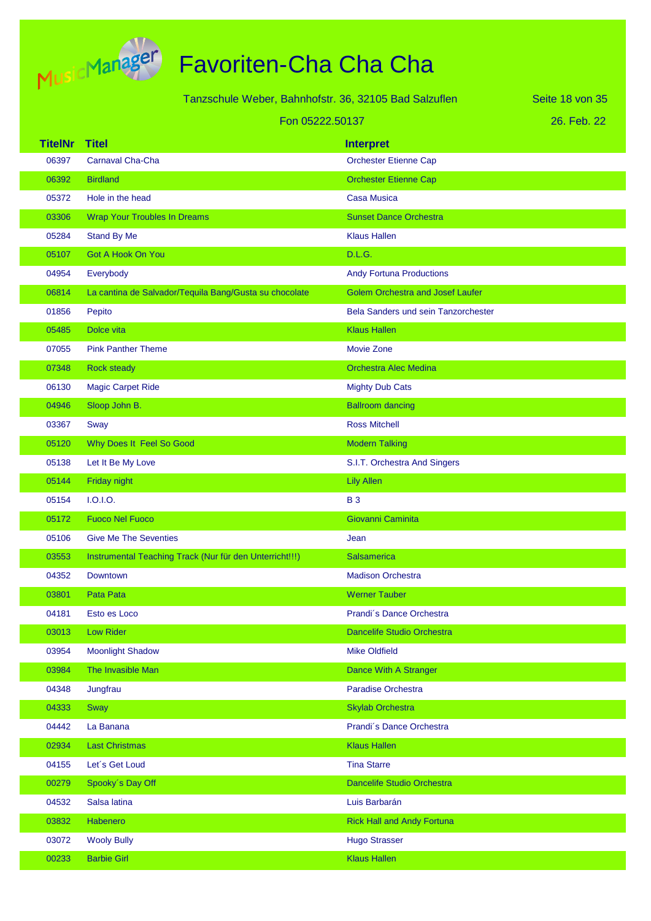

|                | Tanzschule Weber, Bahnhofstr. 36, 32105 Bad Salzuflen   |                                            | Seite 18 von 35 |
|----------------|---------------------------------------------------------|--------------------------------------------|-----------------|
|                | Fon 05222.50137                                         |                                            | 26. Feb. 22     |
| <b>TitelNr</b> | <b>Titel</b>                                            | <b>Interpret</b>                           |                 |
| 06397          | <b>Carnaval Cha-Cha</b>                                 | <b>Orchester Etienne Cap</b>               |                 |
| 06392          | <b>Birdland</b>                                         | <b>Orchester Etienne Cap</b>               |                 |
| 05372          | Hole in the head                                        | <b>Casa Musica</b>                         |                 |
| 03306          | <b>Wrap Your Troubles In Dreams</b>                     | <b>Sunset Dance Orchestra</b>              |                 |
| 05284          | Stand By Me                                             | <b>Klaus Hallen</b>                        |                 |
| 05107          | Got A Hook On You                                       | D.L.G.                                     |                 |
| 04954          | Everybody                                               | <b>Andy Fortuna Productions</b>            |                 |
| 06814          | La cantina de Salvador/Tequila Bang/Gusta su chocolate  | <b>Golem Orchestra and Josef Laufer</b>    |                 |
| 01856          | Pepito                                                  | <b>Bela Sanders und sein Tanzorchester</b> |                 |
| 05485          | Dolce vita                                              | <b>Klaus Hallen</b>                        |                 |
| 07055          | <b>Pink Panther Theme</b>                               | <b>Movie Zone</b>                          |                 |
| 07348          | <b>Rock steady</b>                                      | <b>Orchestra Alec Medina</b>               |                 |
| 06130          | <b>Magic Carpet Ride</b>                                | <b>Mighty Dub Cats</b>                     |                 |
| 04946          | Sloop John B.                                           | <b>Ballroom dancing</b>                    |                 |
| 03367          | Sway                                                    | <b>Ross Mitchell</b>                       |                 |
| 05120          | Why Does It Feel So Good                                | <b>Modern Talking</b>                      |                 |
| 05138          | Let It Be My Love                                       | S.I.T. Orchestra And Singers               |                 |
| 05144          | Friday night                                            | <b>Lily Allen</b>                          |                 |
| 05154          | 1.0.1.0.                                                | <b>B3</b>                                  |                 |
| 05172          | <b>Fuoco Nel Fuoco</b>                                  | Giovanni Caminita                          |                 |
| 05106          | <b>Give Me The Seventies</b>                            | Jean                                       |                 |
| 03553          | Instrumental Teaching Track (Nur für den Unterricht!!!) | <b>Salsamerica</b>                         |                 |
| 04352          | <b>Downtown</b>                                         | <b>Madison Orchestra</b>                   |                 |
| 03801          | Pata Pata                                               | <b>Werner Tauber</b>                       |                 |
| 04181          | Esto es Loco                                            | Prandi's Dance Orchestra                   |                 |
| 03013          | Low Rider                                               | Dancelife Studio Orchestra                 |                 |
| 03954          | <b>Moonlight Shadow</b>                                 | <b>Mike Oldfield</b>                       |                 |
| 03984          | The Invasible Man                                       | Dance With A Stranger                      |                 |
| 04348          | Jungfrau                                                | Paradise Orchestra                         |                 |
| 04333          | Sway                                                    | <b>Skylab Orchestra</b>                    |                 |
| 04442          | La Banana                                               | Prandi's Dance Orchestra                   |                 |
| 02934          | <b>Last Christmas</b>                                   | <b>Klaus Hallen</b>                        |                 |
| 04155          | Let's Get Loud                                          | <b>Tina Starre</b>                         |                 |
| 00279          | Spooky's Day Off                                        | Dancelife Studio Orchestra                 |                 |
| 04532          | Salsa latina                                            | Luis Barbarán                              |                 |
| 03832          | Habenero                                                | <b>Rick Hall and Andy Fortuna</b>          |                 |
| 03072          | <b>Wooly Bully</b>                                      | <b>Hugo Strasser</b>                       |                 |
| 00233          | <b>Barbie Girl</b>                                      | <b>Klaus Hallen</b>                        |                 |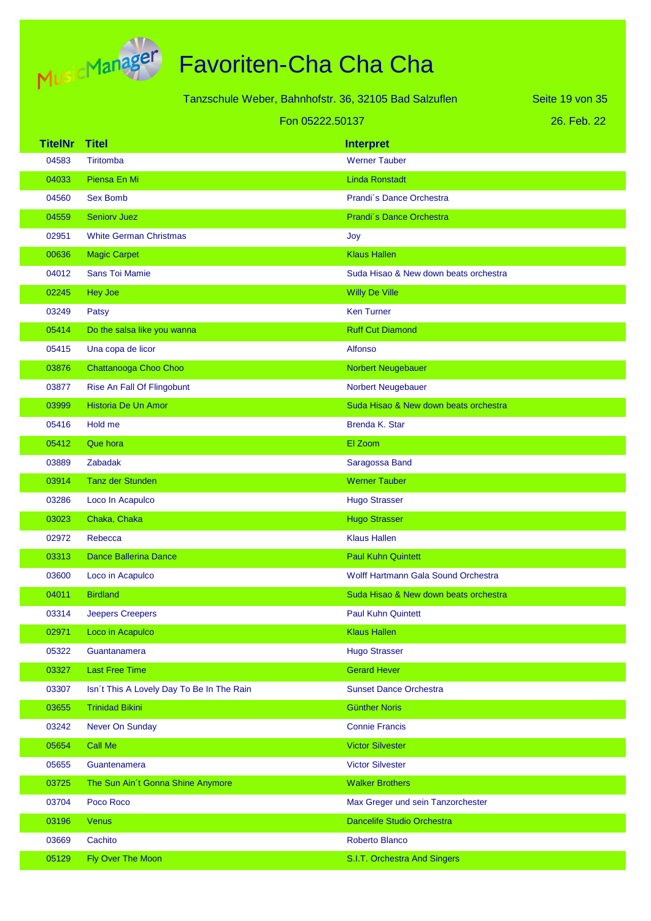

|                |                                           | Tanzschule Weber, Bahnhofstr. 36, 32105 Bad Salzuflen | Seite 19 von 35 |
|----------------|-------------------------------------------|-------------------------------------------------------|-----------------|
|                |                                           | Fon 05222.50137                                       | 26. Feb. 22     |
| <b>TitelNr</b> | <b>Titel</b>                              | <b>Interpret</b>                                      |                 |
| 04583          | Tiritomba                                 | <b>Werner Tauber</b>                                  |                 |
| 04033          | Piensa En Mi                              | <b>Linda Ronstadt</b>                                 |                 |
| 04560          | <b>Sex Bomb</b>                           | Prandi's Dance Orchestra                              |                 |
| 04559          | <b>Seniory Juez</b>                       | Prandi's Dance Orchestra                              |                 |
| 02951          | <b>White German Christmas</b>             | Joy                                                   |                 |
| 00636          | <b>Magic Carpet</b>                       | <b>Klaus Hallen</b>                                   |                 |
| 04012          | <b>Sans Toi Mamie</b>                     | Suda Hisao & New down beats orchestra                 |                 |
| 02245          | <b>Hey Joe</b>                            | <b>Willy De Ville</b>                                 |                 |
| 03249          | Patsy                                     | <b>Ken Turner</b>                                     |                 |
| 05414          | Do the salsa like you wanna               | <b>Ruff Cut Diamond</b>                               |                 |
| 05415          | Una copa de licor                         | <b>Alfonso</b>                                        |                 |
| 03876          | Chattanooga Choo Choo                     | Norbert Neugebauer                                    |                 |
| 03877          | Rise An Fall Of Flingobunt                | Norbert Neugebauer                                    |                 |
| 03999          | <b>Historia De Un Amor</b>                | Suda Hisao & New down beats orchestra                 |                 |
| 05416          | Hold me                                   | Brenda K. Star                                        |                 |
| 05412          | Que hora                                  | El Zoom                                               |                 |
| 03889          | <b>Zabadak</b>                            | Saragossa Band                                        |                 |
| 03914          | <b>Tanz der Stunden</b>                   | <b>Werner Tauber</b>                                  |                 |
| 03286          | Loco In Acapulco                          | <b>Hugo Strasser</b>                                  |                 |
| 03023          | Chaka, Chaka                              | <b>Hugo Strasser</b>                                  |                 |
| 02972          | Rebecca                                   | <b>Klaus Hallen</b>                                   |                 |
| 03313          | <b>Dance Ballerina Dance</b>              | <b>Paul Kuhn Quintett</b>                             |                 |
| 03600          | Loco in Acapulco                          | Wolff Hartmann Gala Sound Orchestra                   |                 |
| 04011          | <b>Birdland</b>                           | Suda Hisao & New down beats orchestra                 |                 |
| 03314          | <b>Jeepers Creepers</b>                   | <b>Paul Kuhn Quintett</b>                             |                 |
| 02971          | Loco in Acapulco                          | <b>Klaus Hallen</b>                                   |                 |
| 05322          | Guantanamera                              | <b>Hugo Strasser</b>                                  |                 |
| 03327          | <b>Last Free Time</b>                     | <b>Gerard Hever</b>                                   |                 |
| 03307          | Isn't This A Lovely Day To Be In The Rain | <b>Sunset Dance Orchestra</b>                         |                 |
| 03655          | <b>Trinidad Bikini</b>                    | <b>Günther Noris</b>                                  |                 |
| 03242          | Never On Sunday                           | <b>Connie Francis</b>                                 |                 |
| 05654          | Call Me                                   | <b>Victor Silvester</b>                               |                 |
| 05655          | Guantenamera                              | <b>Victor Silvester</b>                               |                 |
| 03725          | The Sun Ain't Gonna Shine Anymore         | <b>Walker Brothers</b>                                |                 |
| 03704          | Poco Roco                                 | Max Greger und sein Tanzorchester                     |                 |
| 03196          | <b>Venus</b>                              | <b>Dancelife Studio Orchestra</b>                     |                 |
| 03669          | Cachito                                   | Roberto Blanco                                        |                 |
| 05129          | Fly Over The Moon                         | S.I.T. Orchestra And Singers                          |                 |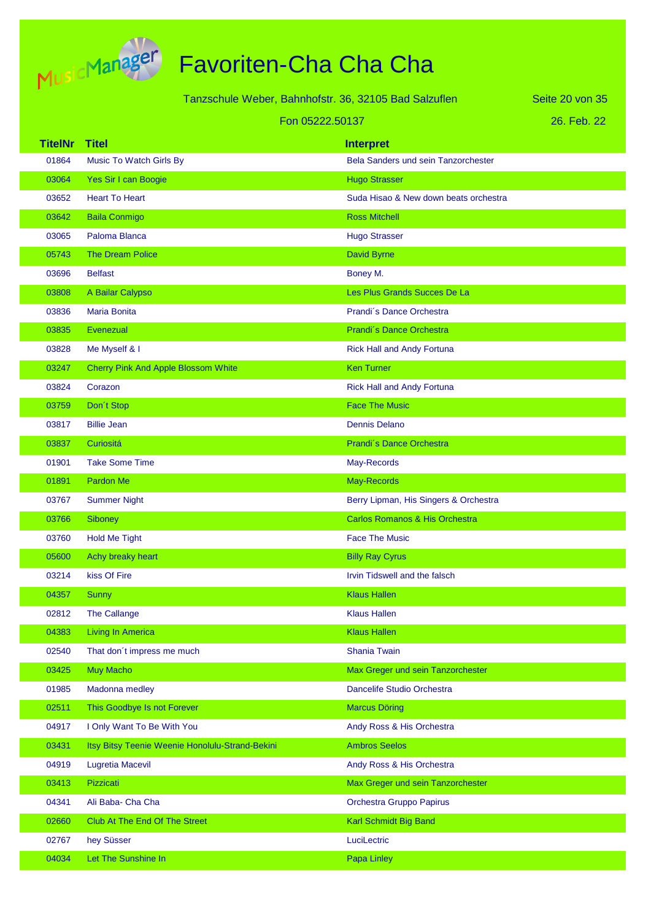

Tanzschule Weber, Bahnhofstr. 36, 32105 Bad Salzuflen

26. Feb. 22 Seite 20 von 35

|                | Fon 05222.50137                                 |                                            | 26. Feb. 22 |
|----------------|-------------------------------------------------|--------------------------------------------|-------------|
| <b>TitelNr</b> | <b>Titel</b>                                    | <b>Interpret</b>                           |             |
| 01864          | <b>Music To Watch Girls By</b>                  | <b>Bela Sanders und sein Tanzorchester</b> |             |
| 03064          | Yes Sir I can Boogie                            | <b>Hugo Strasser</b>                       |             |
| 03652          | <b>Heart To Heart</b>                           | Suda Hisao & New down beats orchestra      |             |
| 03642          | <b>Baila Conmigo</b>                            | <b>Ross Mitchell</b>                       |             |
| 03065          | Paloma Blanca                                   | <b>Hugo Strasser</b>                       |             |
| 05743          | <b>The Dream Police</b>                         | <b>David Byrne</b>                         |             |
| 03696          | <b>Belfast</b>                                  | Boney M.                                   |             |
| 03808          | A Bailar Calypso                                | Les Plus Grands Succes De La               |             |
| 03836          | <b>Maria Bonita</b>                             | Prandi's Dance Orchestra                   |             |
| 03835          | Evenezual                                       | Prandi's Dance Orchestra                   |             |
| 03828          | Me Myself & I                                   | <b>Rick Hall and Andy Fortuna</b>          |             |
| 03247          | <b>Cherry Pink And Apple Blossom White</b>      | <b>Ken Turner</b>                          |             |
| 03824          | Corazon                                         | <b>Rick Hall and Andy Fortuna</b>          |             |
| 03759          | Don't Stop                                      | <b>Face The Music</b>                      |             |
| 03817          | <b>Billie Jean</b>                              | <b>Dennis Delano</b>                       |             |
| 03837          | Curiositá                                       | Prandi's Dance Orchestra                   |             |
| 01901          | <b>Take Some Time</b>                           | May-Records                                |             |
| 01891          | <b>Pardon Me</b>                                | May-Records                                |             |
| 03767          | <b>Summer Night</b>                             | Berry Lipman, His Singers & Orchestra      |             |
| 03766          | Siboney                                         | Carlos Romanos & His Orchestra             |             |
| 03760          | <b>Hold Me Tight</b>                            | <b>Face The Music</b>                      |             |
| 05600          | Achy breaky heart                               | <b>Billy Ray Cyrus</b>                     |             |
| 03214          | kiss Of Fire                                    | Irvin Tidswell and the falsch              |             |
| 04357          | <b>Sunny</b>                                    | <b>Klaus Hallen</b>                        |             |
| 02812          | The Callange                                    | <b>Klaus Hallen</b>                        |             |
| 04383          | <b>Living In America</b>                        | <b>Klaus Hallen</b>                        |             |
| 02540          | That don't impress me much                      | <b>Shania Twain</b>                        |             |
| 03425          | Muy Macho                                       | Max Greger und sein Tanzorchester          |             |
| 01985          | Madonna medley                                  | Dancelife Studio Orchestra                 |             |
| 02511          | This Goodbye Is not Forever                     | <b>Marcus Döring</b>                       |             |
| 04917          | I Only Want To Be With You                      | Andy Ross & His Orchestra                  |             |
| 03431          | Itsy Bitsy Teenie Weenie Honolulu-Strand-Bekini | <b>Ambros Seelos</b>                       |             |
| 04919          | Lugretia Macevil                                | Andy Ross & His Orchestra                  |             |
| 03413          | Pizzicati                                       | Max Greger und sein Tanzorchester          |             |
| 04341          | Ali Baba- Cha Cha                               | Orchestra Gruppo Papirus                   |             |
| 02660          | Club At The End Of The Street                   | Karl Schmidt Big Band                      |             |
| 02767          | hey Süsser                                      | LuciLectric                                |             |
| 04034          | Let The Sunshine In                             | Papa Linley                                |             |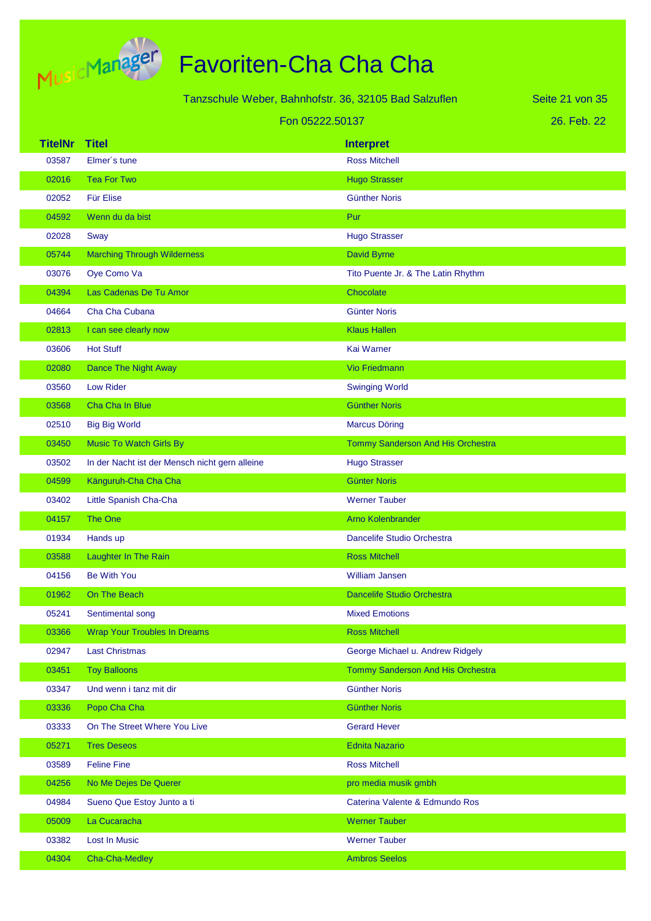

|                |                                                | Tanzschule Weber, Bahnhofstr. 36, 32105 Bad Salzuflen | Seite 21 von 35 |
|----------------|------------------------------------------------|-------------------------------------------------------|-----------------|
|                |                                                | Fon 05222.50137                                       | 26. Feb. 22     |
| <b>TitelNr</b> | <b>Titel</b>                                   | <b>Interpret</b>                                      |                 |
| 03587          | Elmer's tune                                   | <b>Ross Mitchell</b>                                  |                 |
| 02016          | <b>Tea For Two</b>                             | <b>Hugo Strasser</b>                                  |                 |
| 02052          | <b>Für Elise</b>                               | <b>Günther Noris</b>                                  |                 |
| 04592          | Wenn du da bist                                | Pur                                                   |                 |
| 02028          | Sway                                           | <b>Hugo Strasser</b>                                  |                 |
| 05744          | <b>Marching Through Wilderness</b>             | David Byrne                                           |                 |
| 03076          | Oye Como Va                                    | Tito Puente Jr. & The Latin Rhythm                    |                 |
| 04394          | Las Cadenas De Tu Amor                         | Chocolate                                             |                 |
| 04664          | Cha Cha Cubana                                 | Günter Noris                                          |                 |
| 02813          | I can see clearly now                          | <b>Klaus Hallen</b>                                   |                 |
| 03606          | <b>Hot Stuff</b>                               | Kai Warner                                            |                 |
| 02080          | <b>Dance The Night Away</b>                    | <b>Vio Friedmann</b>                                  |                 |
| 03560          | <b>Low Rider</b>                               | <b>Swinging World</b>                                 |                 |
| 03568          | Cha Cha In Blue                                | <b>Günther Noris</b>                                  |                 |
| 02510          | <b>Big Big World</b>                           | <b>Marcus Döring</b>                                  |                 |
| 03450          | <b>Music To Watch Girls By</b>                 | Tommy Sanderson And His Orchestra                     |                 |
| 03502          | In der Nacht ist der Mensch nicht gern alleine | <b>Hugo Strasser</b>                                  |                 |
| 04599          | Känguruh-Cha Cha Cha                           | <b>Günter Noris</b>                                   |                 |
| 03402          | Little Spanish Cha-Cha                         | <b>Werner Tauber</b>                                  |                 |
| 04157          | <b>The One</b>                                 | <b>Arno Kolenbrander</b>                              |                 |
| 01934          | Hands up                                       | Dancelife Studio Orchestra                            |                 |
| 03588          | Laughter In The Rain                           | <b>Ross Mitchell</b>                                  |                 |
| 04156          | <b>Be With You</b>                             | <b>William Jansen</b>                                 |                 |
| 01962          | On The Beach                                   | Dancelife Studio Orchestra                            |                 |
| 05241          | Sentimental song                               | <b>Mixed Emotions</b>                                 |                 |
| 03366          | <b>Wrap Your Troubles In Dreams</b>            | <b>Ross Mitchell</b>                                  |                 |
| 02947          | <b>Last Christmas</b>                          | George Michael u. Andrew Ridgely                      |                 |
| 03451          | <b>Toy Balloons</b>                            | Tommy Sanderson And His Orchestra                     |                 |
| 03347          | Und wenn i tanz mit dir                        | <b>Günther Noris</b>                                  |                 |
| 03336          | Popo Cha Cha                                   | <b>Günther Noris</b>                                  |                 |
| 03333          | On The Street Where You Live                   | <b>Gerard Hever</b>                                   |                 |
| 05271          | <b>Tres Deseos</b>                             | <b>Ednita Nazario</b>                                 |                 |
| 03589          | <b>Feline Fine</b>                             | <b>Ross Mitchell</b>                                  |                 |
| 04256          | No Me Dejes De Querer                          | pro media musik gmbh                                  |                 |
| 04984          | Sueno Que Estoy Junto a ti                     | Caterina Valente & Edmundo Ros                        |                 |
| 05009          | La Cucaracha                                   | <b>Werner Tauber</b>                                  |                 |
| 03382          | Lost In Music                                  | <b>Werner Tauber</b>                                  |                 |
| 04304          | Cha-Cha-Medley                                 | <b>Ambros Seelos</b>                                  |                 |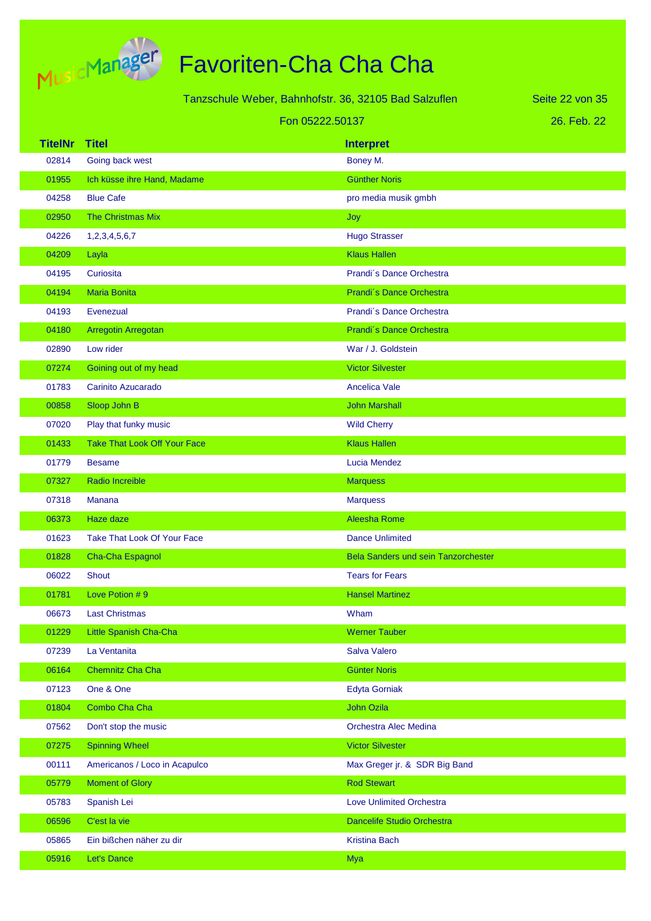

|                | Tanzschule Weber, Bahnhofstr. 36, 32105 Bad Salzuflen | Seite 22 von 35                     |             |
|----------------|-------------------------------------------------------|-------------------------------------|-------------|
|                | Fon 05222.50137                                       |                                     | 26. Feb. 22 |
| <b>TitelNr</b> | <b>Titel</b>                                          | <b>Interpret</b>                    |             |
| 02814          | Going back west                                       | Boney M.                            |             |
| 01955          | Ich küsse ihre Hand, Madame                           | <b>Günther Noris</b>                |             |
| 04258          | <b>Blue Cafe</b>                                      | pro media musik gmbh                |             |
| 02950          | <b>The Christmas Mix</b>                              | Joy                                 |             |
| 04226          | 1,2,3,4,5,6,7                                         | <b>Hugo Strasser</b>                |             |
| 04209          | Layla                                                 | <b>Klaus Hallen</b>                 |             |
| 04195          | Curiosita                                             | Prandi's Dance Orchestra            |             |
| 04194          | <b>Maria Bonita</b>                                   | Prandi's Dance Orchestra            |             |
| 04193          | Evenezual                                             | Prandi's Dance Orchestra            |             |
| 04180          | Arregotin Arregotan                                   | Prandi's Dance Orchestra            |             |
| 02890          | Low rider                                             | War / J. Goldstein                  |             |
| 07274          | Goining out of my head                                | <b>Victor Silvester</b>             |             |
| 01783          | Carinito Azucarado                                    | <b>Ancelica Vale</b>                |             |
| 00858          | Sloop John B                                          | <b>John Marshall</b>                |             |
| 07020          | Play that funky music                                 | <b>Wild Cherry</b>                  |             |
| 01433          | <b>Take That Look Off Your Face</b>                   | <b>Klaus Hallen</b>                 |             |
| 01779          | <b>Besame</b>                                         | Lucia Mendez                        |             |
| 07327          | Radio Increible                                       | <b>Marquess</b>                     |             |
| 07318          | Manana                                                | <b>Marquess</b>                     |             |
| 06373          | Haze daze                                             | <b>Aleesha Rome</b>                 |             |
| 01623          | Take That Look Of Your Face                           | <b>Dance Unlimited</b>              |             |
| 01828          | Cha-Cha Espagnol                                      | Bela Sanders und sein Tanzorchester |             |
| 06022          | <b>Shout</b>                                          | <b>Tears for Fears</b>              |             |
| 01781          | Love Potion #9                                        | <b>Hansel Martinez</b>              |             |
| 06673          | <b>Last Christmas</b>                                 | Wham                                |             |
| 01229          | Little Spanish Cha-Cha                                | <b>Werner Tauber</b>                |             |
| 07239          | La Ventanita                                          | Salva Valero                        |             |
| 06164          | Chemnitz Cha Cha                                      | <b>Günter Noris</b>                 |             |
| 07123          | One & One                                             | <b>Edyta Gorniak</b>                |             |
| 01804          | Combo Cha Cha                                         | John Ozila                          |             |
| 07562          | Don't stop the music                                  | Orchestra Alec Medina               |             |
| 07275          | <b>Spinning Wheel</b>                                 | <b>Victor Silvester</b>             |             |
| 00111          | Americanos / Loco in Acapulco                         | Max Greger jr. & SDR Big Band       |             |
| 05779          | <b>Moment of Glory</b>                                | <b>Rod Stewart</b>                  |             |
| 05783          | Spanish Lei                                           | <b>Love Unlimited Orchestra</b>     |             |
| 06596          | C'est la vie                                          | Dancelife Studio Orchestra          |             |
| 05865          | Ein bißchen näher zu dir                              | <b>Kristina Bach</b>                |             |
| 05916          | Let's Dance                                           | <b>Mya</b>                          |             |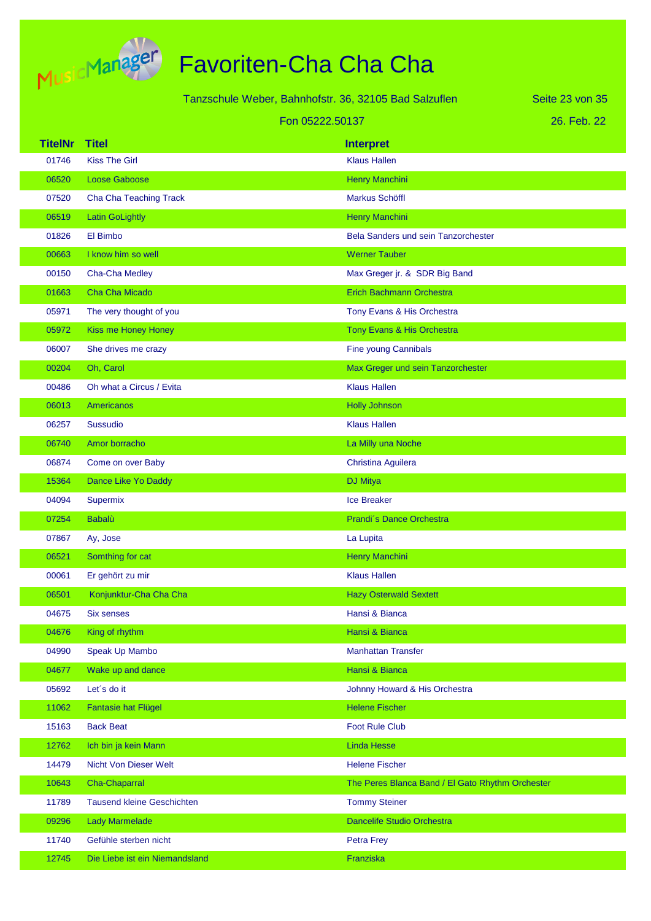

|                | Tanzschule Weber, Bahnhofstr. 36, 32105 Bad Salzuflen<br>Seite 23 von 35 |                           |                                                  |             |
|----------------|--------------------------------------------------------------------------|---------------------------|--------------------------------------------------|-------------|
|                | Fon 05222.50137                                                          |                           |                                                  | 26. Feb. 22 |
| <b>TitelNr</b> | <b>Titel</b>                                                             | <b>Interpret</b>          |                                                  |             |
| 01746          | <b>Kiss The Girl</b>                                                     | <b>Klaus Hallen</b>       |                                                  |             |
| 06520          | Loose Gaboose                                                            | <b>Henry Manchini</b>     |                                                  |             |
| 07520          | Cha Cha Teaching Track                                                   | <b>Markus Schöffl</b>     |                                                  |             |
| 06519          | <b>Latin GoLightly</b>                                                   | <b>Henry Manchini</b>     |                                                  |             |
| 01826          | El Bimbo                                                                 |                           | Bela Sanders und sein Tanzorchester              |             |
| 00663          | I know him so well                                                       | <b>Werner Tauber</b>      |                                                  |             |
| 00150          | Cha-Cha Medley                                                           |                           | Max Greger jr. & SDR Big Band                    |             |
| 01663          | Cha Cha Micado                                                           |                           | <b>Erich Bachmann Orchestra</b>                  |             |
| 05971          | The very thought of you                                                  |                           | Tony Evans & His Orchestra                       |             |
| 05972          | <b>Kiss me Honey Honey</b>                                               |                           | Tony Evans & His Orchestra                       |             |
| 06007          | She drives me crazy                                                      | Fine young Cannibals      |                                                  |             |
| 00204          | Oh, Carol                                                                |                           | Max Greger und sein Tanzorchester                |             |
| 00486          | Oh what a Circus / Evita                                                 | <b>Klaus Hallen</b>       |                                                  |             |
| 06013          | <b>Americanos</b>                                                        | <b>Holly Johnson</b>      |                                                  |             |
| 06257          | <b>Sussudio</b>                                                          | <b>Klaus Hallen</b>       |                                                  |             |
| 06740          | Amor borracho                                                            | La Milly una Noche        |                                                  |             |
| 06874          | Come on over Baby                                                        | Christina Aguilera        |                                                  |             |
| 15364          | Dance Like Yo Daddy                                                      | <b>DJ Mitya</b>           |                                                  |             |
| 04094          | Supermix                                                                 | <b>Ice Breaker</b>        |                                                  |             |
| 07254          | <b>Babalù</b>                                                            |                           | Prandi's Dance Orchestra                         |             |
| 07867          | Ay, Jose                                                                 | La Lupita                 |                                                  |             |
| 06521          | Somthing for cat                                                         | <b>Henry Manchini</b>     |                                                  |             |
| 00061          | Er gehört zu mir                                                         | <b>Klaus Hallen</b>       |                                                  |             |
| 06501          | Konjunktur-Cha Cha Cha                                                   |                           | <b>Hazy Osterwald Sextett</b>                    |             |
| 04675          | <b>Six senses</b>                                                        | Hansi & Bianca            |                                                  |             |
| 04676          | King of rhythm                                                           | Hansi & Bianca            |                                                  |             |
| 04990          | Speak Up Mambo                                                           | <b>Manhattan Transfer</b> |                                                  |             |
| 04677          | Wake up and dance                                                        | Hansi & Bianca            |                                                  |             |
| 05692          | Let's do it                                                              |                           | Johnny Howard & His Orchestra                    |             |
| 11062          | <b>Fantasie hat Flügel</b>                                               | <b>Helene Fischer</b>     |                                                  |             |
| 15163          | <b>Back Beat</b>                                                         | <b>Foot Rule Club</b>     |                                                  |             |
| 12762          | Ich bin ja kein Mann                                                     | <b>Linda Hesse</b>        |                                                  |             |
| 14479          | Nicht Von Dieser Welt                                                    | <b>Helene Fischer</b>     |                                                  |             |
| 10643          | Cha-Chaparral                                                            |                           | The Peres Blanca Band / El Gato Rhythm Orchester |             |
| 11789          | <b>Tausend kleine Geschichten</b>                                        | <b>Tommy Steiner</b>      |                                                  |             |
| 09296          | <b>Lady Marmelade</b>                                                    |                           | Dancelife Studio Orchestra                       |             |
| 11740          | Gefühle sterben nicht                                                    | <b>Petra Frey</b>         |                                                  |             |
| 12745          | Die Liebe ist ein Niemandsland                                           | Franziska                 |                                                  |             |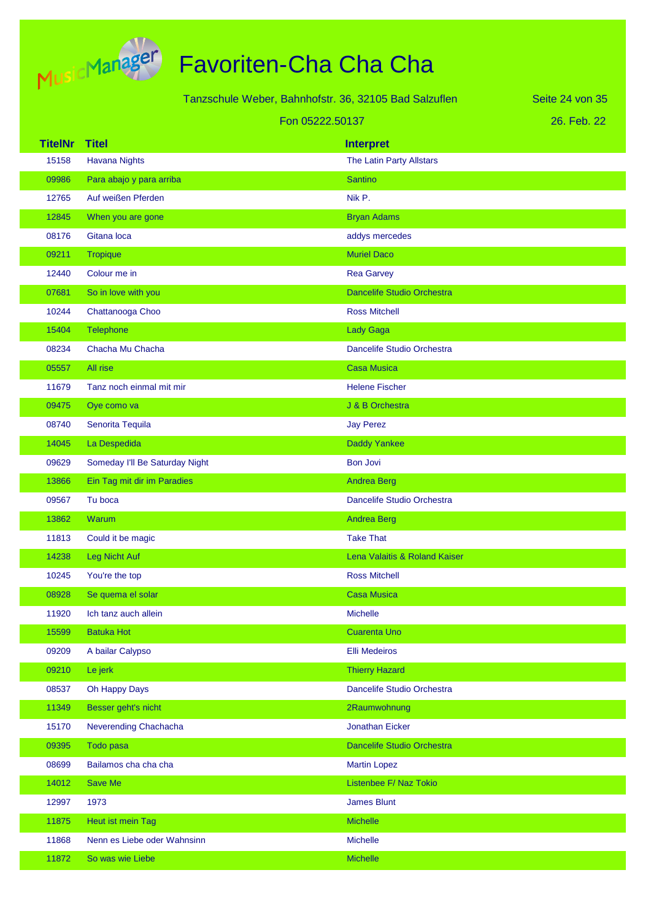

# Favoriten-Cha Cha Cha

| Tanzschule Weber, Bahnhofstr. 36, 32105 Bad Salzuflen |                                |                                   | Seite 24 von 35 |
|-------------------------------------------------------|--------------------------------|-----------------------------------|-----------------|
|                                                       | Fon 05222.50137                |                                   | 26. Feb. 22     |
| <b>TitelNr</b>                                        | <b>Titel</b>                   | <b>Interpret</b>                  |                 |
| 15158                                                 | <b>Havana Nights</b>           | The Latin Party Allstars          |                 |
| 09986                                                 | Para abajo y para arriba       | <b>Santino</b>                    |                 |
| 12765                                                 | Auf weißen Pferden             | Nik P.                            |                 |
| 12845                                                 | When you are gone              | <b>Bryan Adams</b>                |                 |
| 08176                                                 | Gitana loca                    | addys mercedes                    |                 |
| 09211                                                 | <b>Tropique</b>                | <b>Muriel Daco</b>                |                 |
| 12440                                                 | Colour me in                   | <b>Rea Garvey</b>                 |                 |
| 07681                                                 | So in love with you            | <b>Dancelife Studio Orchestra</b> |                 |
| 10244                                                 | Chattanooga Choo               | <b>Ross Mitchell</b>              |                 |
| 15404                                                 | Telephone                      | <b>Lady Gaga</b>                  |                 |
| 08234                                                 | Chacha Mu Chacha               | Dancelife Studio Orchestra        |                 |
| 05557                                                 | All rise                       | <b>Casa Musica</b>                |                 |
| 11679                                                 | Tanz noch einmal mit mir       | <b>Helene Fischer</b>             |                 |
| 09475                                                 | Oye como va                    | J & B Orchestra                   |                 |
| 08740                                                 | Senorita Tequila               | <b>Jay Perez</b>                  |                 |
| 14045                                                 | La Despedida                   | <b>Daddy Yankee</b>               |                 |
| 09629                                                 | Someday I'll Be Saturday Night | <b>Bon Jovi</b>                   |                 |
| 13866                                                 | Ein Tag mit dir im Paradies    | <b>Andrea Berg</b>                |                 |
| 09567                                                 | Tu boca                        | Dancelife Studio Orchestra        |                 |
| 13862                                                 | Warum                          | <b>Andrea Berg</b>                |                 |
| 11813                                                 | Could it be magic              | <b>Take That</b>                  |                 |
| 14238                                                 | Leg Nicht Auf                  | Lena Valaitis & Roland Kaiser     |                 |
| 10245                                                 | You're the top                 | <b>Ross Mitchell</b>              |                 |
| 08928                                                 | Se quema el solar              | <b>Casa Musica</b>                |                 |
| 11920                                                 | Ich tanz auch allein           | <b>Michelle</b>                   |                 |
| 15599                                                 | <b>Batuka Hot</b>              | <b>Cuarenta Uno</b>               |                 |
| 09209                                                 | A bailar Calypso               | <b>Elli Medeiros</b>              |                 |
| 09210                                                 | Le jerk                        | <b>Thierry Hazard</b>             |                 |
| 08537                                                 | Oh Happy Days                  | Dancelife Studio Orchestra        |                 |
| 11349                                                 | Besser geht's nicht            | 2Raumwohnung                      |                 |
| 15170                                                 | Neverending Chachacha          | <b>Jonathan Eicker</b>            |                 |
| 09395                                                 | Todo pasa                      | Dancelife Studio Orchestra        |                 |
| 08699                                                 | Bailamos cha cha cha           | <b>Martin Lopez</b>               |                 |
| 14012                                                 | Save Me                        | Listenbee F/ Naz Tokio            |                 |
| 12997                                                 | 1973                           | <b>James Blunt</b>                |                 |
| 11875                                                 | Heut ist mein Tag              | <b>Michelle</b>                   |                 |
| 11868                                                 | Nenn es Liebe oder Wahnsinn    | Michelle                          |                 |

11872 So was wie Liebe Michelle Michelle Michelle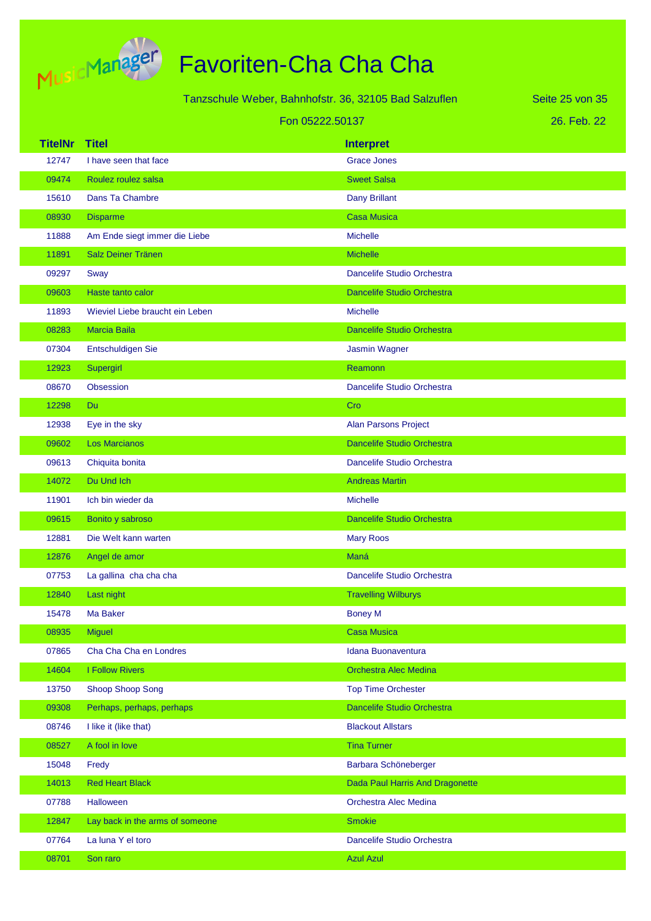

| Tanzschule Weber, Bahnhofstr. 36, 32105 Bad Salzuflen |                                 |                                   | Seite 25 von 35 |
|-------------------------------------------------------|---------------------------------|-----------------------------------|-----------------|
|                                                       | Fon 05222.50137                 |                                   | 26. Feb. 22     |
| <b>TitelNr</b>                                        | <b>Titel</b>                    | <b>Interpret</b>                  |                 |
| 12747                                                 | I have seen that face           | <b>Grace Jones</b>                |                 |
| 09474                                                 | Roulez roulez salsa             | <b>Sweet Salsa</b>                |                 |
| 15610                                                 | Dans Ta Chambre                 | Dany Brillant                     |                 |
| 08930                                                 | <b>Disparme</b>                 | <b>Casa Musica</b>                |                 |
| 11888                                                 | Am Ende siegt immer die Liebe   | <b>Michelle</b>                   |                 |
| 11891                                                 | Salz Deiner Tränen              | <b>Michelle</b>                   |                 |
| 09297                                                 | Sway                            | Dancelife Studio Orchestra        |                 |
| 09603                                                 | Haste tanto calor               | <b>Dancelife Studio Orchestra</b> |                 |
| 11893                                                 | Wieviel Liebe braucht ein Leben | <b>Michelle</b>                   |                 |
| 08283                                                 | <b>Marcia Baila</b>             | <b>Dancelife Studio Orchestra</b> |                 |
| 07304                                                 | Entschuldigen Sie               | Jasmin Wagner                     |                 |
| 12923                                                 | Supergirl                       | Reamonn                           |                 |
| 08670                                                 | <b>Obsession</b>                | Dancelife Studio Orchestra        |                 |
| 12298                                                 | Du                              | Cro                               |                 |
| 12938                                                 | Eye in the sky                  | <b>Alan Parsons Project</b>       |                 |
| 09602                                                 | <b>Los Marcianos</b>            | Dancelife Studio Orchestra        |                 |
| 09613                                                 | Chiquita bonita                 | Dancelife Studio Orchestra        |                 |
| 14072                                                 | Du Und Ich                      | <b>Andreas Martin</b>             |                 |
| 11901                                                 | Ich bin wieder da               | <b>Michelle</b>                   |                 |
| 09615                                                 | Bonito y sabroso                | <b>Dancelife Studio Orchestra</b> |                 |
| 12881                                                 | Die Welt kann warten            | <b>Mary Roos</b>                  |                 |
| 12876                                                 | Angel de amor                   | Maná                              |                 |
| 07753                                                 | La gallina cha cha cha          | Dancelife Studio Orchestra        |                 |
| 12840                                                 | Last night                      | <b>Travelling Wilburys</b>        |                 |
| 15478                                                 | Ma Baker                        | <b>Boney M</b>                    |                 |
| 08935                                                 | <b>Miguel</b>                   | <b>Casa Musica</b>                |                 |
| 07865                                                 | Cha Cha Cha en Londres          | Idana Buonaventura                |                 |
| 14604                                                 | <b>I Follow Rivers</b>          | Orchestra Alec Medina             |                 |
| 13750                                                 | Shoop Shoop Song                | <b>Top Time Orchester</b>         |                 |
| 09308                                                 | Perhaps, perhaps, perhaps       | Dancelife Studio Orchestra        |                 |
| 08746                                                 | I like it (like that)           | <b>Blackout Allstars</b>          |                 |
| 08527                                                 | A fool in love                  | <b>Tina Turner</b>                |                 |
| 15048                                                 | Fredy                           | Barbara Schöneberger              |                 |
| 14013                                                 | <b>Red Heart Black</b>          | Dada Paul Harris And Dragonette   |                 |
| 07788                                                 | Halloween                       | Orchestra Alec Medina             |                 |
| 12847                                                 | Lay back in the arms of someone | <b>Smokie</b>                     |                 |
| 07764                                                 | La luna Y el toro               | Dancelife Studio Orchestra        |                 |
| 08701                                                 | Son raro                        | <b>Azul Azul</b>                  |                 |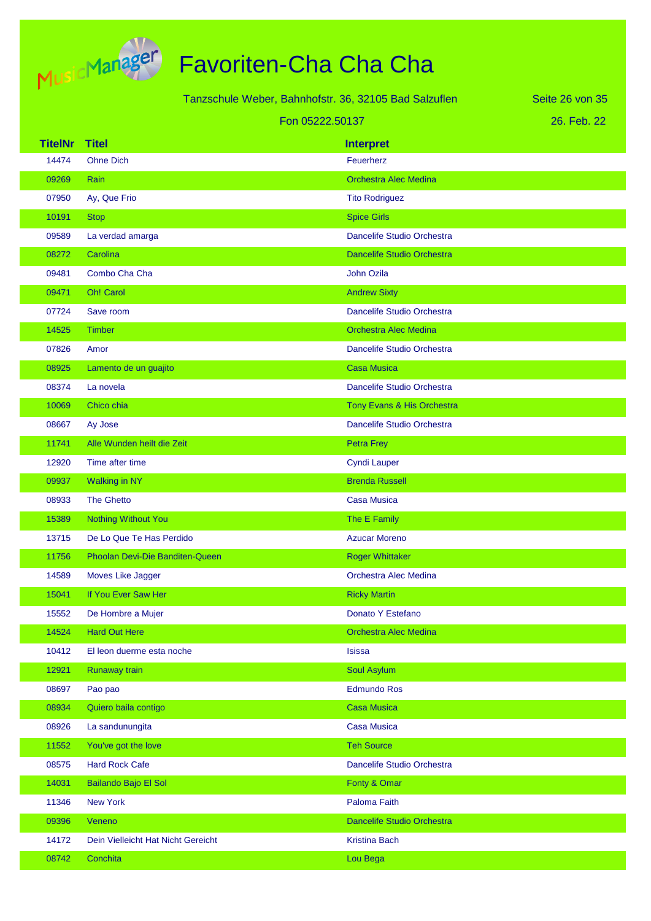

|                 |                                    | Tanzschule Weber, Bahnhofstr. 36, 32105 Bad Salzuflen | Seite 26 von 35 |
|-----------------|------------------------------------|-------------------------------------------------------|-----------------|
| Fon 05222.50137 |                                    | 26. Feb. 22                                           |                 |
| <b>TitelNr</b>  | <b>Titel</b>                       | <b>Interpret</b>                                      |                 |
| 14474           | <b>Ohne Dich</b>                   | Feuerherz                                             |                 |
| 09269           | Rain                               | <b>Orchestra Alec Medina</b>                          |                 |
| 07950           | Ay, Que Frio                       | <b>Tito Rodriguez</b>                                 |                 |
| 10191           | <b>Stop</b>                        | <b>Spice Girls</b>                                    |                 |
| 09589           | La verdad amarga                   | Dancelife Studio Orchestra                            |                 |
| 08272           | Carolina                           | <b>Dancelife Studio Orchestra</b>                     |                 |
| 09481           | Combo Cha Cha                      | John Ozila                                            |                 |
| 09471           | Oh! Carol                          | <b>Andrew Sixty</b>                                   |                 |
| 07724           | Save room                          | Dancelife Studio Orchestra                            |                 |
| 14525           | <b>Timber</b>                      | <b>Orchestra Alec Medina</b>                          |                 |
| 07826           | Amor                               | Dancelife Studio Orchestra                            |                 |
| 08925           | Lamento de un guajito              | <b>Casa Musica</b>                                    |                 |
| 08374           | La novela                          | Dancelife Studio Orchestra                            |                 |
| 10069           | Chico chia                         | Tony Evans & His Orchestra                            |                 |
| 08667           | Ay Jose                            | Dancelife Studio Orchestra                            |                 |
| 11741           | Alle Wunden heilt die Zeit         | <b>Petra Frey</b>                                     |                 |
| 12920           | Time after time                    | <b>Cyndi Lauper</b>                                   |                 |
| 09937           | <b>Walking in NY</b>               | <b>Brenda Russell</b>                                 |                 |
| 08933           | <b>The Ghetto</b>                  | <b>Casa Musica</b>                                    |                 |
| 15389           | <b>Nothing Without You</b>         | The E Family                                          |                 |
| 13715           | De Lo Que Te Has Perdido           | <b>Azucar Moreno</b>                                  |                 |
| 11756           | Phoolan Devi-Die Banditen-Queen    | <b>Roger Whittaker</b>                                |                 |
| 14589           | Moves Like Jagger                  | Orchestra Alec Medina                                 |                 |
| 15041           | If You Ever Saw Her                | <b>Ricky Martin</b>                                   |                 |
| 15552           | De Hombre a Mujer                  | Donato Y Estefano                                     |                 |
| 14524           | <b>Hard Out Here</b>               | <b>Orchestra Alec Medina</b>                          |                 |
| 10412           | El leon duerme esta noche          | <b>Isissa</b>                                         |                 |
| 12921           | Runaway train                      | Soul Asylum                                           |                 |
| 08697           | Pao pao                            | <b>Edmundo Ros</b>                                    |                 |
| 08934           | Quiero baila contigo               | <b>Casa Musica</b>                                    |                 |
| 08926           | La sandunungita                    | <b>Casa Musica</b>                                    |                 |
| 11552           | You've got the love                | <b>Teh Source</b>                                     |                 |
| 08575           | <b>Hard Rock Cafe</b>              | Dancelife Studio Orchestra                            |                 |
| 14031           | Bailando Bajo El Sol               | Fonty & Omar                                          |                 |
| 11346           | <b>New York</b>                    | Paloma Faith                                          |                 |
| 09396           | Veneno                             | Dancelife Studio Orchestra                            |                 |
| 14172           | Dein Vielleicht Hat Nicht Gereicht | <b>Kristina Bach</b>                                  |                 |
| 08742           | Conchita                           | Lou Bega                                              |                 |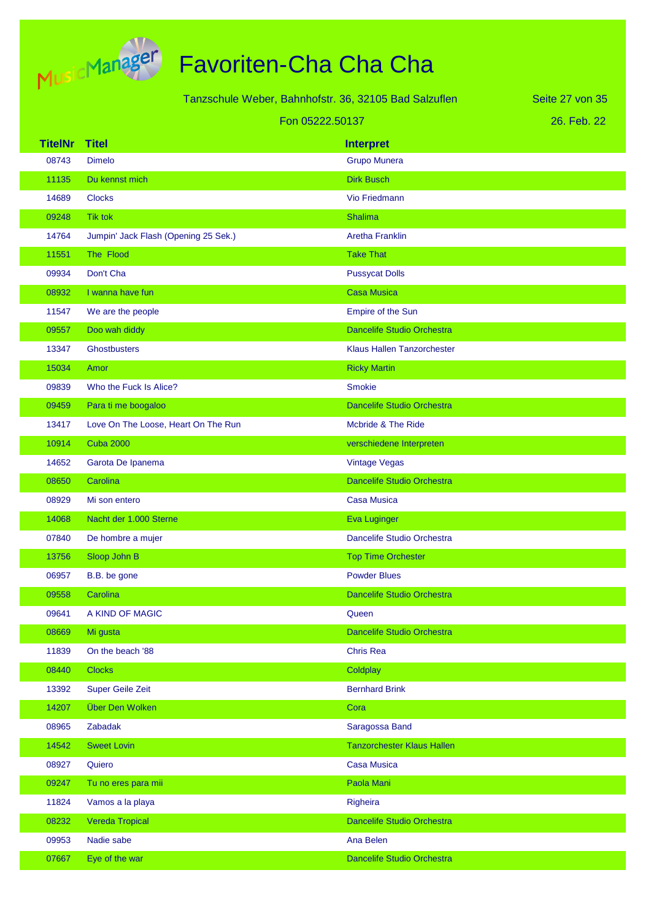

|                |                                      | Tanzschule Weber, Bahnhofstr. 36, 32105 Bad Salzuflen | Seite 27 von 35 |
|----------------|--------------------------------------|-------------------------------------------------------|-----------------|
|                | Fon 05222.50137                      |                                                       | 26. Feb. 22     |
| <b>TitelNr</b> | <b>Titel</b>                         | <b>Interpret</b>                                      |                 |
| 08743          | <b>Dimelo</b>                        | <b>Grupo Munera</b>                                   |                 |
| 11135          | Du kennst mich                       | <b>Dirk Busch</b>                                     |                 |
| 14689          | <b>Clocks</b>                        | Vio Friedmann                                         |                 |
| 09248          | <b>Tik tok</b>                       | <b>Shalima</b>                                        |                 |
| 14764          | Jumpin' Jack Flash (Opening 25 Sek.) | <b>Aretha Franklin</b>                                |                 |
| 11551          | The Flood                            | <b>Take That</b>                                      |                 |
| 09934          | Don't Cha                            | <b>Pussycat Dolls</b>                                 |                 |
| 08932          | I wanna have fun                     | <b>Casa Musica</b>                                    |                 |
| 11547          | We are the people                    | Empire of the Sun                                     |                 |
| 09557          | Doo wah diddy                        | <b>Dancelife Studio Orchestra</b>                     |                 |
| 13347          | <b>Ghostbusters</b>                  | Klaus Hallen Tanzorchester                            |                 |
| 15034          | Amor                                 | <b>Ricky Martin</b>                                   |                 |
| 09839          | Who the Fuck Is Alice?               | <b>Smokie</b>                                         |                 |
| 09459          | Para ti me boogaloo                  | <b>Dancelife Studio Orchestra</b>                     |                 |
| 13417          | Love On The Loose, Heart On The Run  | Mcbride & The Ride                                    |                 |
| 10914          | <b>Cuba 2000</b>                     | verschiedene Interpreten                              |                 |
| 14652          | Garota De Ipanema                    | Vintage Vegas                                         |                 |
| 08650          | Carolina                             | Dancelife Studio Orchestra                            |                 |
| 08929          | Mi son entero                        | <b>Casa Musica</b>                                    |                 |
| 14068          | Nacht der 1.000 Sterne               | <b>Eva Luginger</b>                                   |                 |
| 07840          | De hombre a mujer                    | Dancelife Studio Orchestra                            |                 |
| 13756          | Sloop John B                         | <b>Top Time Orchester</b>                             |                 |
| 06957          | B.B. be gone                         | <b>Powder Blues</b>                                   |                 |
| 09558          | Carolina                             | Dancelife Studio Orchestra                            |                 |
| 09641          | A KIND OF MAGIC                      | Queen                                                 |                 |
| 08669          | Mi gusta                             | Dancelife Studio Orchestra                            |                 |
| 11839          | On the beach '88                     | <b>Chris Rea</b>                                      |                 |
| 08440          | <b>Clocks</b>                        | Coldplay                                              |                 |
| 13392          | <b>Super Geile Zeit</b>              | <b>Bernhard Brink</b>                                 |                 |
| 14207          | Über Den Wolken                      | Cora                                                  |                 |
| 08965          | Zabadak                              | Saragossa Band                                        |                 |
| 14542          | <b>Sweet Lovin</b>                   | <b>Tanzorchester Klaus Hallen</b>                     |                 |
| 08927          | Quiero                               | <b>Casa Musica</b>                                    |                 |
| 09247          | Tu no eres para mii                  | Paola Mani                                            |                 |
| 11824          | Vamos a la playa                     | Righeira                                              |                 |
| 08232          | Vereda Tropical                      | Dancelife Studio Orchestra                            |                 |
| 09953          | Nadie sabe                           | Ana Belen                                             |                 |
| 07667          | Eye of the war                       | Dancelife Studio Orchestra                            |                 |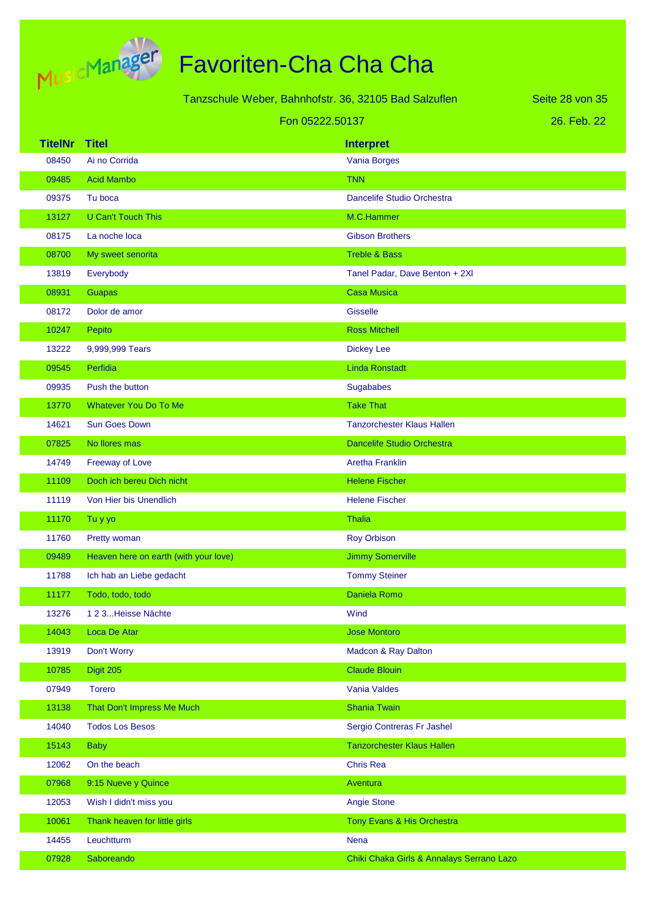

|                |                                       | Tanzschule Weber, Bahnhofstr. 36, 32105 Bad Salzuflen | Seite 28 von 35 |
|----------------|---------------------------------------|-------------------------------------------------------|-----------------|
|                | Fon 05222.50137                       |                                                       | 26. Feb. 22     |
| <b>TitelNr</b> | <b>Titel</b>                          | <b>Interpret</b>                                      |                 |
| 08450          | Ai no Corrida                         | Vania Borges                                          |                 |
| 09485          | <b>Acid Mambo</b>                     | <b>TNN</b>                                            |                 |
| 09375          | Tu boca                               | Dancelife Studio Orchestra                            |                 |
| 13127          | <b>U Can't Touch This</b>             | M.C.Hammer                                            |                 |
| 08175          | La noche loca                         | <b>Gibson Brothers</b>                                |                 |
| 08700          | My sweet senorita                     | <b>Treble &amp; Bass</b>                              |                 |
| 13819          | Everybody                             | Tanel Padar, Dave Benton + 2XI                        |                 |
| 08931          | <b>Guapas</b>                         | <b>Casa Musica</b>                                    |                 |
| 08172          | Dolor de amor                         | <b>Gisselle</b>                                       |                 |
| 10247          | Pepito                                | <b>Ross Mitchell</b>                                  |                 |
| 13222          | 9,999,999 Tears                       | <b>Dickey Lee</b>                                     |                 |
| 09545          | Perfidia                              | <b>Linda Ronstadt</b>                                 |                 |
| 09935          | Push the button                       | Sugababes                                             |                 |
| 13770          | Whatever You Do To Me                 | <b>Take That</b>                                      |                 |
| 14621          | <b>Sun Goes Down</b>                  | <b>Tanzorchester Klaus Hallen</b>                     |                 |
| 07825          | No llores mas                         | <b>Dancelife Studio Orchestra</b>                     |                 |
| 14749          | Freeway of Love                       | <b>Aretha Franklin</b>                                |                 |
| 11109          | Doch ich bereu Dich nicht             | <b>Helene Fischer</b>                                 |                 |
| 11119          | Von Hier bis Unendlich                | <b>Helene Fischer</b>                                 |                 |
| 11170          | Tu y yo                               | <b>Thalia</b>                                         |                 |
| 11760          | Pretty woman                          | <b>Roy Orbison</b>                                    |                 |
| 09489          | Heaven here on earth (with your love) | <b>Jimmy Somerville</b>                               |                 |
| 11788          | Ich hab an Liebe gedacht              | <b>Tommy Steiner</b>                                  |                 |
| 11177          | Todo, todo, todo                      | Daniela Romo                                          |                 |
| 13276          | 123Heisse Nächte                      | Wind                                                  |                 |
| 14043          | Loca De Atar                          | <b>Jose Montoro</b>                                   |                 |
| 13919          | Don't Worry                           | Madcon & Ray Dalton                                   |                 |
| 10785          | Digit 205                             | <b>Claude Blouin</b>                                  |                 |
| 07949          | <b>Torero</b>                         | Vania Valdes                                          |                 |
| 13138          | That Don't Impress Me Much            | <b>Shania Twain</b>                                   |                 |
| 14040          | <b>Todos Los Besos</b>                | Sergio Contreras Fr Jashel                            |                 |
| 15143          | <b>Baby</b>                           | <b>Tanzorchester Klaus Hallen</b>                     |                 |
| 12062          | On the beach                          | <b>Chris Rea</b>                                      |                 |
| 07968          | 9:15 Nueve y Quince                   | Aventura                                              |                 |
| 12053          | Wish I didn't miss you                | <b>Angie Stone</b>                                    |                 |
| 10061          | Thank heaven for little girls         | Tony Evans & His Orchestra                            |                 |
| 14455          | Leuchtturm                            | Nena                                                  |                 |
| 07928          | Saboreando                            | Chiki Chaka Girls & Annalays Serrano Lazo             |                 |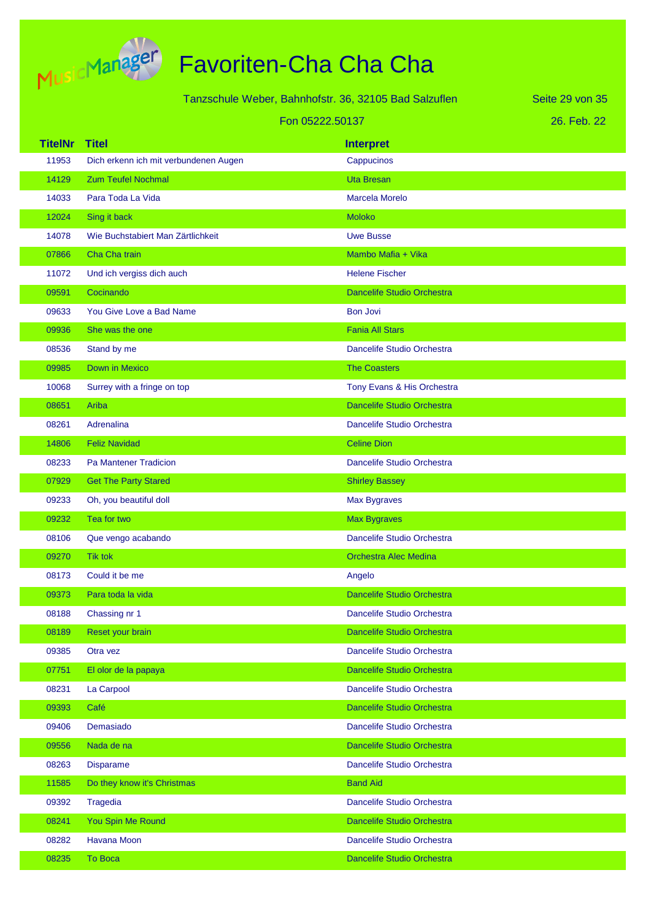

T.

| Tanzschule Weber, Bahnhofstr. 36, 32105 Bad Salzuflen |                                       |                                   | Seite 29 von 35 |
|-------------------------------------------------------|---------------------------------------|-----------------------------------|-----------------|
|                                                       | Fon 05222.50137                       |                                   | 26. Feb. 22     |
| <b>TitelNr</b>                                        | <b>Titel</b>                          | <b>Interpret</b>                  |                 |
| 11953                                                 | Dich erkenn ich mit verbundenen Augen | Cappucinos                        |                 |
| 14129                                                 | <b>Zum Teufel Nochmal</b>             | <b>Uta Bresan</b>                 |                 |
| 14033                                                 | Para Toda La Vida                     | Marcela Morelo                    |                 |
| 12024                                                 | Sing it back                          | <b>Moloko</b>                     |                 |
| 14078                                                 | Wie Buchstabiert Man Zärtlichkeit     | <b>Uwe Busse</b>                  |                 |
| 07866                                                 | Cha Cha train                         | Mambo Mafia + Vika                |                 |
| 11072                                                 | Und ich vergiss dich auch             | <b>Helene Fischer</b>             |                 |
| 09591                                                 | Cocinando                             | <b>Dancelife Studio Orchestra</b> |                 |
| 09633                                                 | You Give Love a Bad Name              | <b>Bon Jovi</b>                   |                 |
| 09936                                                 | She was the one                       | <b>Fania All Stars</b>            |                 |
| 08536                                                 | Stand by me                           | <b>Dancelife Studio Orchestra</b> |                 |
| 09985                                                 | <b>Down in Mexico</b>                 | <b>The Coasters</b>               |                 |
| 10068                                                 | Surrey with a fringe on top           | Tony Evans & His Orchestra        |                 |
| 08651                                                 | Ariba                                 | <b>Dancelife Studio Orchestra</b> |                 |
| 08261                                                 | Adrenalina                            | Dancelife Studio Orchestra        |                 |
| 14806                                                 | <b>Feliz Navidad</b>                  | <b>Celine Dion</b>                |                 |
| 08233                                                 | <b>Pa Mantener Tradicion</b>          | Dancelife Studio Orchestra        |                 |
| 07929                                                 | <b>Get The Party Stared</b>           | <b>Shirley Bassey</b>             |                 |
| 09233                                                 | Oh, you beautiful doll                | Max Bygraves                      |                 |
| 09232                                                 | Tea for two                           | <b>Max Bygraves</b>               |                 |
| 08106                                                 | Que vengo acabando                    | Dancelife Studio Orchestra        |                 |
| 09270                                                 | <b>Tik tok</b>                        | <b>Orchestra Alec Medina</b>      |                 |
| 08173                                                 | Could it be me                        | Anaelo                            |                 |
| 09373                                                 | Para toda la vida                     | <b>Dancelife Studio Orchestra</b> |                 |
| 08188                                                 | Chassing nr 1                         | Dancelife Studio Orchestra        |                 |
| 08189                                                 | Reset your brain                      | Dancelife Studio Orchestra        |                 |
| 09385                                                 | Otra vez                              | Dancelife Studio Orchestra        |                 |
| 07751                                                 | El olor de la papaya                  | Dancelife Studio Orchestra        |                 |
| 08231                                                 | La Carpool                            | Dancelife Studio Orchestra        |                 |
| 09393                                                 | Café                                  | <b>Dancelife Studio Orchestra</b> |                 |
| 09406                                                 | Demasiado                             | Dancelife Studio Orchestra        |                 |
| 09556                                                 | Nada de na                            | Dancelife Studio Orchestra        |                 |
| 08263                                                 | <b>Disparame</b>                      | Dancelife Studio Orchestra        |                 |
| 11585                                                 | Do they know it's Christmas           | <b>Band Aid</b>                   |                 |
| 09392                                                 | Tragedia                              | Dancelife Studio Orchestra        |                 |
| 08241                                                 | You Spin Me Round                     | <b>Dancelife Studio Orchestra</b> |                 |
| 08282                                                 | Havana Moon                           | Dancelife Studio Orchestra        |                 |
| 08235                                                 | <b>To Boca</b>                        | Dancelife Studio Orchestra        |                 |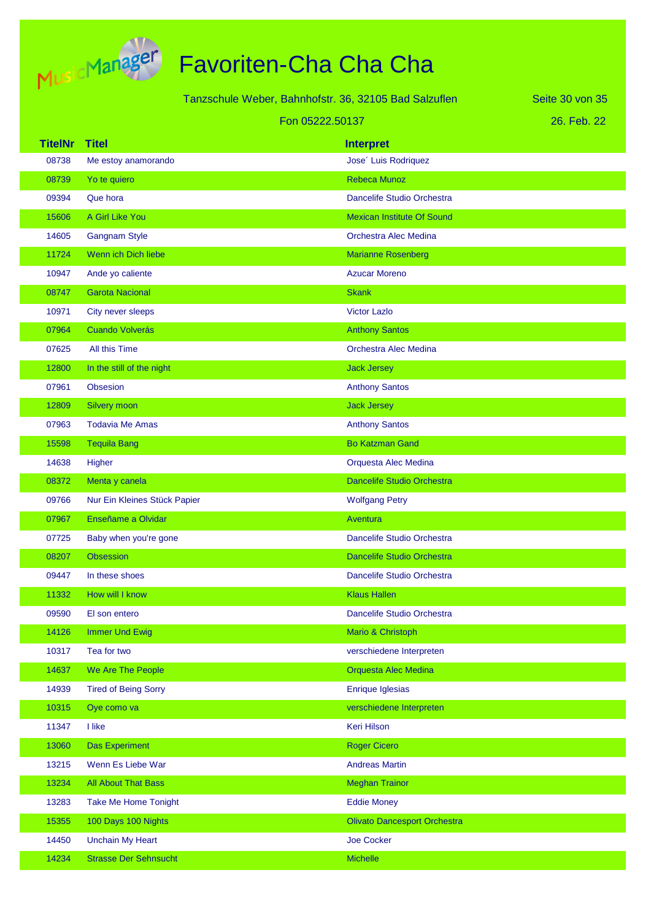

|                |                              | Tanzschule Weber, Bahnhofstr. 36, 32105 Bad Salzuflen |                                     | Seite 30 von 35 |
|----------------|------------------------------|-------------------------------------------------------|-------------------------------------|-----------------|
|                |                              | Fon 05222.50137                                       |                                     | 26. Feb. 22     |
| <b>TitelNr</b> | <b>Titel</b>                 |                                                       | <b>Interpret</b>                    |                 |
| 08738          | Me estoy anamorando          |                                                       | Jose' Luis Rodriquez                |                 |
| 08739          | Yo te quiero                 |                                                       | Rebeca Munoz                        |                 |
| 09394          | Que hora                     |                                                       | Dancelife Studio Orchestra          |                 |
| 15606          | A Girl Like You              |                                                       | <b>Mexican Institute Of Sound</b>   |                 |
| 14605          | <b>Gangnam Style</b>         |                                                       | Orchestra Alec Medina               |                 |
| 11724          | Wenn ich Dich liebe          |                                                       | <b>Marianne Rosenberg</b>           |                 |
| 10947          | Ande yo caliente             |                                                       | <b>Azucar Moreno</b>                |                 |
| 08747          | <b>Garota Nacional</b>       |                                                       | <b>Skank</b>                        |                 |
| 10971          | City never sleeps            |                                                       | <b>Victor Lazlo</b>                 |                 |
| 07964          | <b>Cuando Volverás</b>       |                                                       | <b>Anthony Santos</b>               |                 |
| 07625          | All this Time                |                                                       | Orchestra Alec Medina               |                 |
| 12800          | In the still of the night    |                                                       | <b>Jack Jersey</b>                  |                 |
| 07961          | <b>Obsesion</b>              |                                                       | <b>Anthony Santos</b>               |                 |
| 12809          | <b>Silvery moon</b>          |                                                       | <b>Jack Jersey</b>                  |                 |
| 07963          | <b>Todavia Me Amas</b>       |                                                       | <b>Anthony Santos</b>               |                 |
| 15598          | <b>Tequila Bang</b>          |                                                       | <b>Bo Katzman Gand</b>              |                 |
| 14638          | Higher                       |                                                       | Orquesta Alec Medina                |                 |
| 08372          | Menta y canela               |                                                       | Dancelife Studio Orchestra          |                 |
| 09766          | Nur Ein Kleines Stück Papier |                                                       | <b>Wolfgang Petry</b>               |                 |
| 07967          | Enseñame a Olvidar           |                                                       | Aventura                            |                 |
| 07725          | Baby when you're gone        |                                                       | Dancelife Studio Orchestra          |                 |
| 08207          | <b>Obsession</b>             |                                                       | <b>Dancelife Studio Orchestra</b>   |                 |
| 09447          | In these shoes               |                                                       | Dancelife Studio Orchestra          |                 |
| 11332          | How will I know              |                                                       | <b>Klaus Hallen</b>                 |                 |
| 09590          | El son entero                |                                                       | Dancelife Studio Orchestra          |                 |
| 14126          | <b>Immer Und Ewig</b>        |                                                       | Mario & Christoph                   |                 |
| 10317          | Tea for two                  |                                                       | verschiedene Interpreten            |                 |
| 14637          | We Are The People            |                                                       | Orquesta Alec Medina                |                 |
| 14939          | <b>Tired of Being Sorry</b>  |                                                       | Enrique Iglesias                    |                 |
| 10315          | Oye como va                  |                                                       | verschiedene Interpreten            |                 |
| 11347          | I like                       |                                                       | Keri Hilson                         |                 |
| 13060          | <b>Das Experiment</b>        |                                                       | <b>Roger Cicero</b>                 |                 |
| 13215          | Wenn Es Liebe War            |                                                       | <b>Andreas Martin</b>               |                 |
| 13234          | All About That Bass          |                                                       | <b>Meghan Trainor</b>               |                 |
| 13283          | <b>Take Me Home Tonight</b>  |                                                       | <b>Eddie Money</b>                  |                 |
| 15355          | 100 Days 100 Nights          |                                                       | <b>Olivato Dancesport Orchestra</b> |                 |
| 14450          | <b>Unchain My Heart</b>      |                                                       | Joe Cocker                          |                 |
| 14234          | <b>Strasse Der Sehnsucht</b> |                                                       | Michelle                            |                 |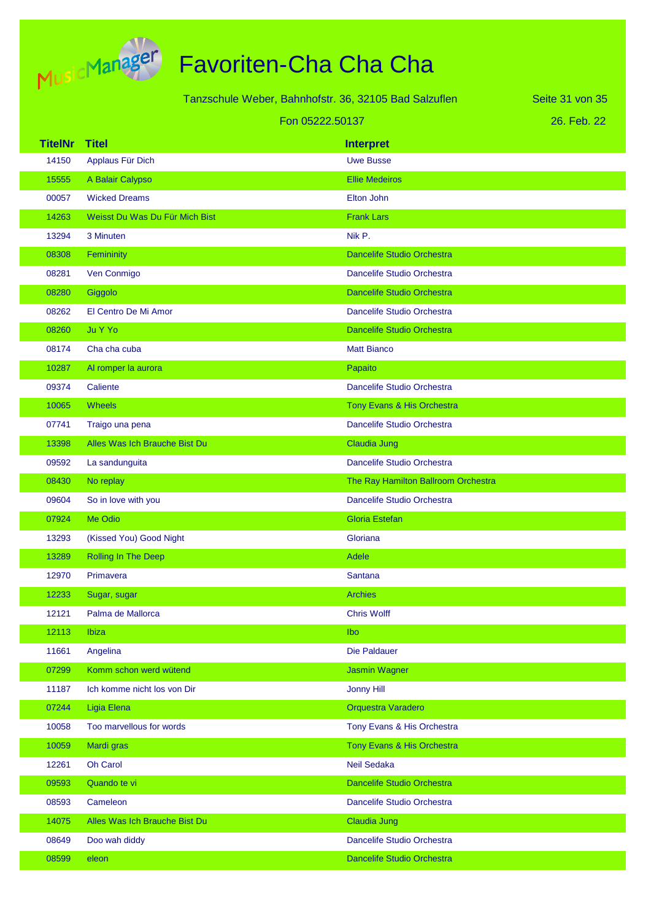

|                |                                | Tanzschule Weber, Bahnhofstr. 36, 32105 Bad Salzuflen | Seite 31 von 35 |
|----------------|--------------------------------|-------------------------------------------------------|-----------------|
|                | Fon 05222.50137                |                                                       | 26. Feb. 22     |
| <b>TitelNr</b> | <b>Titel</b>                   | <b>Interpret</b>                                      |                 |
| 14150          | Applaus Für Dich               | <b>Uwe Busse</b>                                      |                 |
| 15555          | A Balair Calypso               | <b>Ellie Medeiros</b>                                 |                 |
| 00057          | <b>Wicked Dreams</b>           | Elton John                                            |                 |
| 14263          | Weisst Du Was Du Für Mich Bist | <b>Frank Lars</b>                                     |                 |
| 13294          | 3 Minuten                      | Nik P.                                                |                 |
| 08308          | Femininity                     | <b>Dancelife Studio Orchestra</b>                     |                 |
| 08281          | Ven Conmigo                    | Dancelife Studio Orchestra                            |                 |
| 08280          | Giggolo                        | <b>Dancelife Studio Orchestra</b>                     |                 |
| 08262          | El Centro De Mi Amor           | Dancelife Studio Orchestra                            |                 |
| 08260          | Ju Y Yo                        | <b>Dancelife Studio Orchestra</b>                     |                 |
| 08174          | Cha cha cuba                   | <b>Matt Bianco</b>                                    |                 |
| 10287          | Al romper la aurora            | Papaito                                               |                 |
| 09374          | Caliente                       | Dancelife Studio Orchestra                            |                 |
| 10065          | Wheels                         | Tony Evans & His Orchestra                            |                 |
| 07741          | Traigo una pena                | Dancelife Studio Orchestra                            |                 |
| 13398          | Alles Was Ich Brauche Bist Du  | Claudia Jung                                          |                 |
| 09592          | La sandunguita                 | Dancelife Studio Orchestra                            |                 |
| 08430          | No replay                      | The Ray Hamilton Ballroom Orchestra                   |                 |
| 09604          | So in love with you            | Dancelife Studio Orchestra                            |                 |
| 07924          | Me Odio                        | <b>Gloria Estefan</b>                                 |                 |
| 13293          | (Kissed You) Good Night        | Gloriana                                              |                 |
| 13289          | Rolling In The Deep            | <b>Adele</b>                                          |                 |
| 12970          | Primavera                      | <b>Santana</b>                                        |                 |
| 12233          | Sugar, sugar                   | <b>Archies</b>                                        |                 |
| 12121          | Palma de Mallorca              | <b>Chris Wolff</b>                                    |                 |
| 12113          | <b>Ibiza</b>                   | lbo                                                   |                 |
| 11661          | Angelina                       | Die Paldauer                                          |                 |
| 07299          | Komm schon werd wütend         | <b>Jasmin Wagner</b>                                  |                 |
| 11187          | Ich komme nicht los von Dir    | <b>Jonny Hill</b>                                     |                 |
| 07244          | <b>Ligia Elena</b>             | Orquestra Varadero                                    |                 |
| 10058          | Too marvellous for words       | Tony Evans & His Orchestra                            |                 |
| 10059          | Mardi gras                     | Tony Evans & His Orchestra                            |                 |
| 12261          | Oh Carol                       | <b>Neil Sedaka</b>                                    |                 |
| 09593          | Quando te vi                   | Dancelife Studio Orchestra                            |                 |
| 08593          | Cameleon                       | Dancelife Studio Orchestra                            |                 |
| 14075          | Alles Was Ich Brauche Bist Du  | <b>Claudia Jung</b>                                   |                 |
| 08649          | Doo wah diddy                  | Dancelife Studio Orchestra                            |                 |
| 08599          | eleon                          | Dancelife Studio Orchestra                            |                 |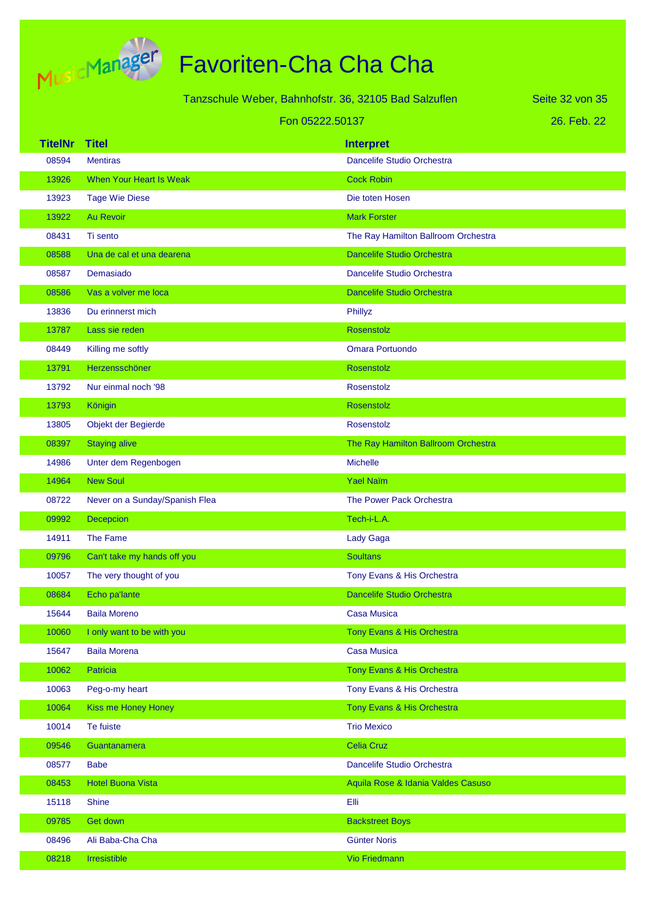

|                | Tanzschule Weber, Bahnhofstr. 36, 32105 Bad Salzuflen |                                     | Seite 32 von 35 |
|----------------|-------------------------------------------------------|-------------------------------------|-----------------|
|                | Fon 05222.50137                                       |                                     | 26. Feb. 22     |
| <b>TitelNr</b> | <b>Titel</b>                                          | <b>Interpret</b>                    |                 |
| 08594          | <b>Mentiras</b>                                       | Dancelife Studio Orchestra          |                 |
| 13926          | <b>When Your Heart Is Weak</b>                        | <b>Cock Robin</b>                   |                 |
| 13923          | <b>Tage Wie Diese</b>                                 | Die toten Hosen                     |                 |
| 13922          | <b>Au Revoir</b>                                      | <b>Mark Forster</b>                 |                 |
| 08431          | Ti sento                                              | The Ray Hamilton Ballroom Orchestra |                 |
| 08588          | Una de cal et una dearena                             | <b>Dancelife Studio Orchestra</b>   |                 |
| 08587          | Demasiado                                             | Dancelife Studio Orchestra          |                 |
| 08586          | Vas a volver me loca                                  | <b>Dancelife Studio Orchestra</b>   |                 |
| 13836          | Du erinnerst mich                                     | Phillyz                             |                 |
| 13787          | Lass sie reden                                        | Rosenstolz                          |                 |
| 08449          | Killing me softly                                     | <b>Omara Portuondo</b>              |                 |
| 13791          | Herzensschöner                                        | Rosenstolz                          |                 |
| 13792          | Nur einmal noch '98                                   | Rosenstolz                          |                 |
| 13793          | Königin                                               | Rosenstolz                          |                 |
| 13805          | Objekt der Begierde                                   | Rosenstolz                          |                 |
| 08397          | <b>Staying alive</b>                                  | The Ray Hamilton Ballroom Orchestra |                 |
| 14986          | Unter dem Regenbogen                                  | <b>Michelle</b>                     |                 |
| 14964          | <b>New Soul</b>                                       | <b>Yael Naïm</b>                    |                 |
| 08722          | Never on a Sunday/Spanish Flea                        | The Power Pack Orchestra            |                 |
| 09992          | Decepcion                                             | Tech-i-L.A.                         |                 |
| 14911          | The Fame                                              | Lady Gaga                           |                 |
| 09796          | Can't take my hands off you                           | <b>Soultans</b>                     |                 |
| 10057          | The very thought of you                               | Tony Evans & His Orchestra          |                 |
| 08684          | Echo pa'lante                                         | Dancelife Studio Orchestra          |                 |
| 15644          | <b>Baila Moreno</b>                                   | <b>Casa Musica</b>                  |                 |
| 10060          | I only want to be with you                            | Tony Evans & His Orchestra          |                 |
| 15647          | <b>Baila Morena</b>                                   | Casa Musica                         |                 |
| 10062          | Patricia                                              | Tony Evans & His Orchestra          |                 |
| 10063          | Peg-o-my heart                                        | Tony Evans & His Orchestra          |                 |
| 10064          | Kiss me Honey Honey                                   | Tony Evans & His Orchestra          |                 |
| 10014          | Te fuiste                                             | <b>Trio Mexico</b>                  |                 |
| 09546          | Guantanamera                                          | <b>Celia Cruz</b>                   |                 |
| 08577          | <b>Babe</b>                                           | Dancelife Studio Orchestra          |                 |
| 08453          | <b>Hotel Buona Vista</b>                              | Aquila Rose & Idania Valdes Casuso  |                 |
| 15118          | <b>Shine</b>                                          | Elli                                |                 |
| 09785          | Get down                                              | <b>Backstreet Boys</b>              |                 |
| 08496          | Ali Baba-Cha Cha                                      | <b>Günter Noris</b>                 |                 |
| 08218          | Irresistible                                          | <b>Vio Friedmann</b>                |                 |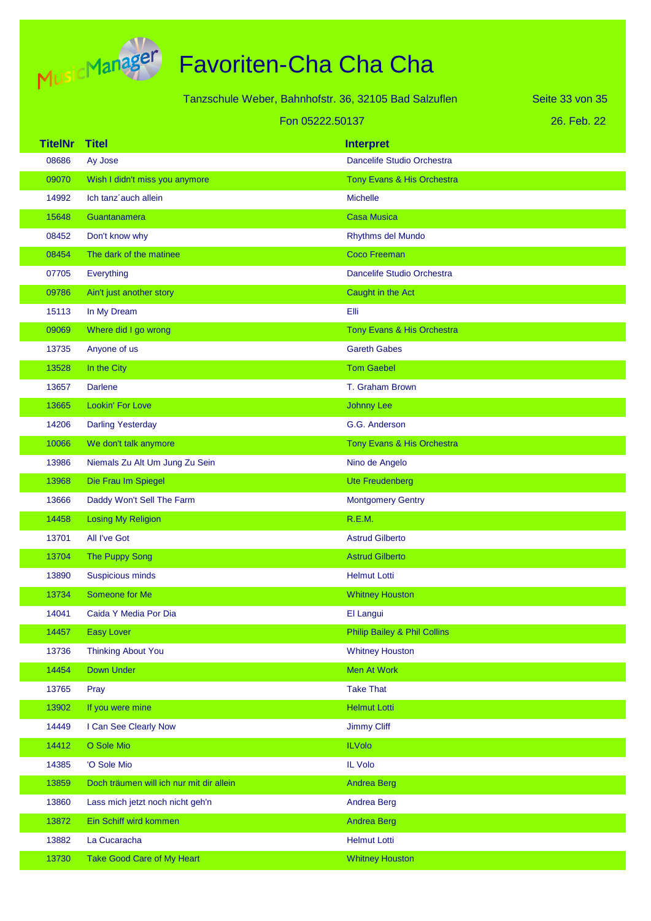

|                |                                          | Tanzschule Weber, Bahnhofstr. 36, 32105 Bad Salzuflen | Seite 33 von 35 |
|----------------|------------------------------------------|-------------------------------------------------------|-----------------|
|                | Fon 05222.50137                          |                                                       | 26. Feb. 22     |
| <b>TitelNr</b> | <b>Titel</b>                             | <b>Interpret</b>                                      |                 |
| 08686          | Ay Jose                                  | Dancelife Studio Orchestra                            |                 |
| 09070          | Wish I didn't miss you anymore           | Tony Evans & His Orchestra                            |                 |
| 14992          | Ich tanz'auch allein                     | <b>Michelle</b>                                       |                 |
| 15648          | Guantanamera                             | <b>Casa Musica</b>                                    |                 |
| 08452          | Don't know why                           | Rhythms del Mundo                                     |                 |
| 08454          | The dark of the matinee                  | <b>Coco Freeman</b>                                   |                 |
| 07705          | Everything                               | Dancelife Studio Orchestra                            |                 |
| 09786          | Ain't just another story                 | Caught in the Act                                     |                 |
| 15113          | In My Dream                              | Elli                                                  |                 |
| 09069          | Where did I go wrong                     | Tony Evans & His Orchestra                            |                 |
| 13735          | Anyone of us                             | <b>Gareth Gabes</b>                                   |                 |
| 13528          | In the City                              | <b>Tom Gaebel</b>                                     |                 |
| 13657          | <b>Darlene</b>                           | T. Graham Brown                                       |                 |
| 13665          | Lookin' For Love                         | <b>Johnny Lee</b>                                     |                 |
| 14206          | <b>Darling Yesterday</b>                 | G.G. Anderson                                         |                 |
| 10066          | We don't talk anymore                    | Tony Evans & His Orchestra                            |                 |
| 13986          | Niemals Zu Alt Um Jung Zu Sein           | Nino de Angelo                                        |                 |
| 13968          | Die Frau Im Spiegel                      | <b>Ute Freudenberg</b>                                |                 |
| 13666          | Daddy Won't Sell The Farm                | <b>Montgomery Gentry</b>                              |                 |
| 14458          | <b>Losing My Religion</b>                | R.E.M.                                                |                 |
| 13701          | All I've Got                             | <b>Astrud Gilberto</b>                                |                 |
| 13704          | The Puppy Song                           | <b>Astrud Gilberto</b>                                |                 |
| 13890          | Suspicious minds                         | <b>Helmut Lotti</b>                                   |                 |
| 13734          | Someone for Me                           | <b>Whitney Houston</b>                                |                 |
| 14041          | Caida Y Media Por Dia                    | El Langui                                             |                 |
| 14457          | Easy Lover                               | <b>Philip Bailey &amp; Phil Collins</b>               |                 |
| 13736          | <b>Thinking About You</b>                | <b>Whitney Houston</b>                                |                 |
| 14454          | Down Under                               | Men At Work                                           |                 |
| 13765          | Pray                                     | <b>Take That</b>                                      |                 |
| 13902          | If you were mine                         | <b>Helmut Lotti</b>                                   |                 |
| 14449          | I Can See Clearly Now                    | <b>Jimmy Cliff</b>                                    |                 |
| 14412          | O Sole Mio                               | <b>ILVolo</b>                                         |                 |
| 14385          | 'O Sole Mio                              | IL Volo                                               |                 |
| 13859          | Doch träumen will ich nur mit dir allein | <b>Andrea Berg</b>                                    |                 |
| 13860          | Lass mich jetzt noch nicht geh'n         | Andrea Berg                                           |                 |
| 13872          | Ein Schiff wird kommen                   | <b>Andrea Berg</b>                                    |                 |
| 13882          | La Cucaracha                             | <b>Helmut Lotti</b>                                   |                 |
| 13730          | <b>Take Good Care of My Heart</b>        | <b>Whitney Houston</b>                                |                 |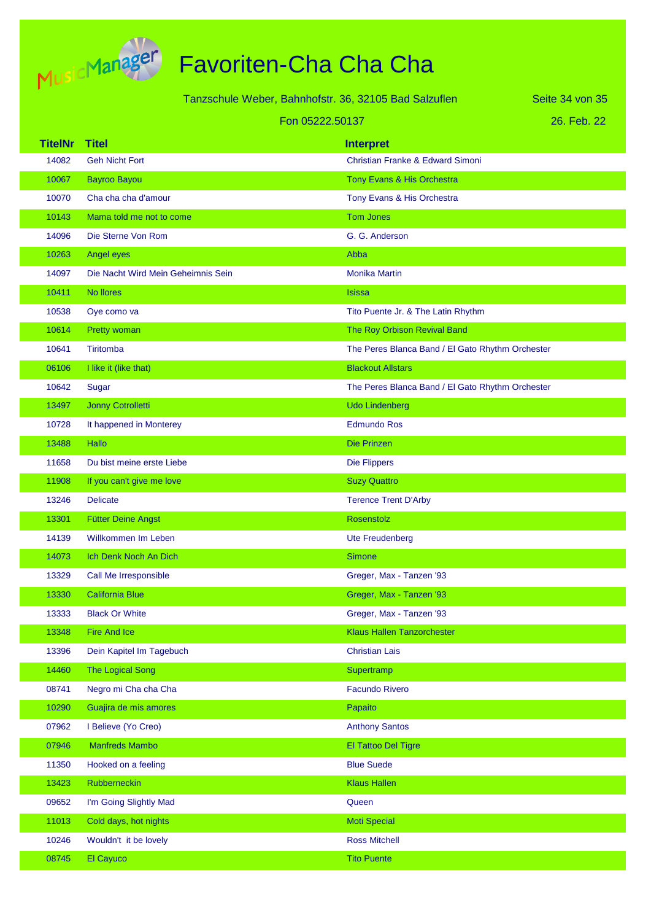

|                | Tanzschule Weber, Bahnhofstr. 36, 32105 Bad Salzuflen |                                                  | Seite 34 von 35 |
|----------------|-------------------------------------------------------|--------------------------------------------------|-----------------|
|                | Fon 05222.50137                                       |                                                  | 26. Feb. 22     |
| <b>TitelNr</b> | <b>Titel</b>                                          | <b>Interpret</b>                                 |                 |
| 14082          | <b>Geh Nicht Fort</b>                                 | <b>Christian Franke &amp; Edward Simoni</b>      |                 |
| 10067          | <b>Bayroo Bayou</b>                                   | Tony Evans & His Orchestra                       |                 |
| 10070          | Cha cha cha d'amour                                   | Tony Evans & His Orchestra                       |                 |
| 10143          | Mama told me not to come                              | <b>Tom Jones</b>                                 |                 |
| 14096          | Die Sterne Von Rom                                    | G. G. Anderson                                   |                 |
| 10263          | Angel eyes                                            | Abba                                             |                 |
| 14097          | Die Nacht Wird Mein Geheimnis Sein                    | <b>Monika Martin</b>                             |                 |
| 10411          | No llores                                             | <b>Isissa</b>                                    |                 |
| 10538          | Oye como va                                           | Tito Puente Jr. & The Latin Rhythm               |                 |
| 10614          | Pretty woman                                          | The Roy Orbison Revival Band                     |                 |
| 10641          | Tiritomba                                             | The Peres Blanca Band / El Gato Rhythm Orchester |                 |
| 06106          | I like it (like that)                                 | <b>Blackout Allstars</b>                         |                 |
| 10642          | Sugar                                                 | The Peres Blanca Band / El Gato Rhythm Orchester |                 |
| 13497          | Jonny Cotrolletti                                     | <b>Udo Lindenberg</b>                            |                 |
| 10728          | It happened in Monterey                               | <b>Edmundo Ros</b>                               |                 |
| 13488          | Hallo                                                 | Die Prinzen                                      |                 |
| 11658          | Du bist meine erste Liebe                             | <b>Die Flippers</b>                              |                 |
| 11908          | If you can't give me love                             | <b>Suzy Quattro</b>                              |                 |
| 13246          | <b>Delicate</b>                                       | <b>Terence Trent D'Arby</b>                      |                 |
| 13301          | <b>Fütter Deine Angst</b>                             | Rosenstolz                                       |                 |
| 14139          | Willkommen Im Leben                                   | Ute Freudenberg                                  |                 |
| 14073          | Ich Denk Noch An Dich                                 | <b>Simone</b>                                    |                 |
| 13329          | Call Me Irresponsible                                 | Greger, Max - Tanzen '93                         |                 |
| 13330          | <b>California Blue</b>                                | Greger, Max - Tanzen '93                         |                 |
| 13333          | <b>Black Or White</b>                                 | Greger, Max - Tanzen '93                         |                 |
| 13348          | <b>Fire And Ice</b>                                   | <b>Klaus Hallen Tanzorchester</b>                |                 |
| 13396          | Dein Kapitel Im Tagebuch                              | <b>Christian Lais</b>                            |                 |
| 14460          | <b>The Logical Song</b>                               | Supertramp                                       |                 |
| 08741          | Negro mi Cha cha Cha                                  | <b>Facundo Rivero</b>                            |                 |
| 10290          | Guajira de mis amores                                 | Papaito                                          |                 |
| 07962          | I Believe (Yo Creo)                                   | <b>Anthony Santos</b>                            |                 |
| 07946          | <b>Manfreds Mambo</b>                                 | El Tattoo Del Tigre                              |                 |
| 11350          | Hooked on a feeling                                   | <b>Blue Suede</b>                                |                 |
| 13423          | Rubberneckin                                          | <b>Klaus Hallen</b>                              |                 |
| 09652          | I'm Going Slightly Mad                                | Queen                                            |                 |
| 11013          | Cold days, hot nights                                 | <b>Moti Special</b>                              |                 |
| 10246          | Wouldn't it be lovely                                 | <b>Ross Mitchell</b>                             |                 |
| 08745          | El Cayuco                                             | <b>Tito Puente</b>                               |                 |